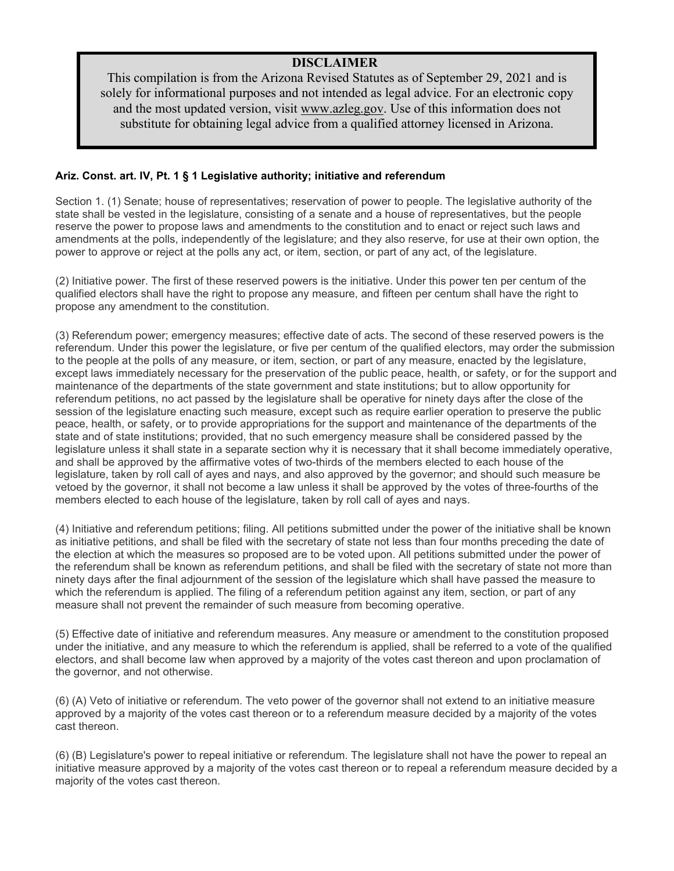# **DISCLAIMER**

This compilation is from the Arizona Revised Statutes as of September 29, 2021 and is solely for informational purposes and not intended as legal advice. For an electronic copy and the most updated version, visit [www.azleg.gov.](http://www.azleg.gov/) Use of this information does not substitute for obtaining legal advice from a qualified attorney licensed in Arizona.

## **Ariz. Const. art. IV, Pt. 1 § 1 Legislative authority; initiative and referendum**

Section 1. (1) Senate; house of representatives; reservation of power to people. The legislative authority of the state shall be vested in the legislature, consisting of a senate and a house of representatives, but the people reserve the power to propose laws and amendments to the constitution and to enact or reject such laws and amendments at the polls, independently of the legislature; and they also reserve, for use at their own option, the power to approve or reject at the polls any act, or item, section, or part of any act, of the legislature.

(2) Initiative power. The first of these reserved powers is the initiative. Under this power ten per centum of the qualified electors shall have the right to propose any measure, and fifteen per centum shall have the right to propose any amendment to the constitution.

(3) Referendum power; emergency measures; effective date of acts. The second of these reserved powers is the referendum. Under this power the legislature, or five per centum of the qualified electors, may order the submission to the people at the polls of any measure, or item, section, or part of any measure, enacted by the legislature, except laws immediately necessary for the preservation of the public peace, health, or safety, or for the support and maintenance of the departments of the state government and state institutions; but to allow opportunity for referendum petitions, no act passed by the legislature shall be operative for ninety days after the close of the session of the legislature enacting such measure, except such as require earlier operation to preserve the public peace, health, or safety, or to provide appropriations for the support and maintenance of the departments of the state and of state institutions; provided, that no such emergency measure shall be considered passed by the legislature unless it shall state in a separate section why it is necessary that it shall become immediately operative, and shall be approved by the affirmative votes of two-thirds of the members elected to each house of the legislature, taken by roll call of ayes and nays, and also approved by the governor; and should such measure be vetoed by the governor, it shall not become a law unless it shall be approved by the votes of three-fourths of the members elected to each house of the legislature, taken by roll call of ayes and nays.

(4) Initiative and referendum petitions; filing. All petitions submitted under the power of the initiative shall be known as initiative petitions, and shall be filed with the secretary of state not less than four months preceding the date of the election at which the measures so proposed are to be voted upon. All petitions submitted under the power of the referendum shall be known as referendum petitions, and shall be filed with the secretary of state not more than ninety days after the final adjournment of the session of the legislature which shall have passed the measure to which the referendum is applied. The filing of a referendum petition against any item, section, or part of any measure shall not prevent the remainder of such measure from becoming operative.

(5) Effective date of initiative and referendum measures. Any measure or amendment to the constitution proposed under the initiative, and any measure to which the referendum is applied, shall be referred to a vote of the qualified electors, and shall become law when approved by a majority of the votes cast thereon and upon proclamation of the governor, and not otherwise.

(6) (A) Veto of initiative or referendum. The veto power of the governor shall not extend to an initiative measure approved by a majority of the votes cast thereon or to a referendum measure decided by a majority of the votes cast thereon.

(6) (B) Legislature's power to repeal initiative or referendum. The legislature shall not have the power to repeal an initiative measure approved by a majority of the votes cast thereon or to repeal a referendum measure decided by a majority of the votes cast thereon.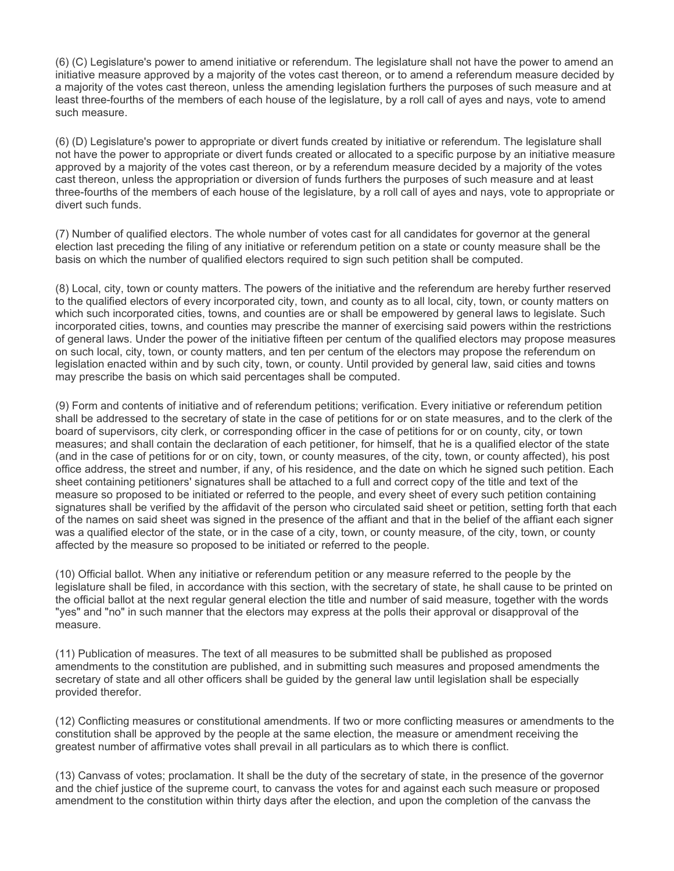(6) (C) Legislature's power to amend initiative or referendum. The legislature shall not have the power to amend an initiative measure approved by a majority of the votes cast thereon, or to amend a referendum measure decided by a majority of the votes cast thereon, unless the amending legislation furthers the purposes of such measure and at least three-fourths of the members of each house of the legislature, by a roll call of ayes and nays, vote to amend such measure.

(6) (D) Legislature's power to appropriate or divert funds created by initiative or referendum. The legislature shall not have the power to appropriate or divert funds created or allocated to a specific purpose by an initiative measure approved by a majority of the votes cast thereon, or by a referendum measure decided by a majority of the votes cast thereon, unless the appropriation or diversion of funds furthers the purposes of such measure and at least three-fourths of the members of each house of the legislature, by a roll call of ayes and nays, vote to appropriate or divert such funds.

(7) Number of qualified electors. The whole number of votes cast for all candidates for governor at the general election last preceding the filing of any initiative or referendum petition on a state or county measure shall be the basis on which the number of qualified electors required to sign such petition shall be computed.

(8) Local, city, town or county matters. The powers of the initiative and the referendum are hereby further reserved to the qualified electors of every incorporated city, town, and county as to all local, city, town, or county matters on which such incorporated cities, towns, and counties are or shall be empowered by general laws to legislate. Such incorporated cities, towns, and counties may prescribe the manner of exercising said powers within the restrictions of general laws. Under the power of the initiative fifteen per centum of the qualified electors may propose measures on such local, city, town, or county matters, and ten per centum of the electors may propose the referendum on legislation enacted within and by such city, town, or county. Until provided by general law, said cities and towns may prescribe the basis on which said percentages shall be computed.

(9) Form and contents of initiative and of referendum petitions; verification. Every initiative or referendum petition shall be addressed to the secretary of state in the case of petitions for or on state measures, and to the clerk of the board of supervisors, city clerk, or corresponding officer in the case of petitions for or on county, city, or town measures; and shall contain the declaration of each petitioner, for himself, that he is a qualified elector of the state (and in the case of petitions for or on city, town, or county measures, of the city, town, or county affected), his post office address, the street and number, if any, of his residence, and the date on which he signed such petition. Each sheet containing petitioners' signatures shall be attached to a full and correct copy of the title and text of the measure so proposed to be initiated or referred to the people, and every sheet of every such petition containing signatures shall be verified by the affidavit of the person who circulated said sheet or petition, setting forth that each of the names on said sheet was signed in the presence of the affiant and that in the belief of the affiant each signer was a qualified elector of the state, or in the case of a city, town, or county measure, of the city, town, or county affected by the measure so proposed to be initiated or referred to the people.

(10) Official ballot. When any initiative or referendum petition or any measure referred to the people by the legislature shall be filed, in accordance with this section, with the secretary of state, he shall cause to be printed on the official ballot at the next regular general election the title and number of said measure, together with the words "yes" and "no" in such manner that the electors may express at the polls their approval or disapproval of the measure.

(11) Publication of measures. The text of all measures to be submitted shall be published as proposed amendments to the constitution are published, and in submitting such measures and proposed amendments the secretary of state and all other officers shall be guided by the general law until legislation shall be especially provided therefor.

(12) Conflicting measures or constitutional amendments. If two or more conflicting measures or amendments to the constitution shall be approved by the people at the same election, the measure or amendment receiving the greatest number of affirmative votes shall prevail in all particulars as to which there is conflict.

(13) Canvass of votes; proclamation. It shall be the duty of the secretary of state, in the presence of the governor and the chief justice of the supreme court, to canvass the votes for and against each such measure or proposed amendment to the constitution within thirty days after the election, and upon the completion of the canvass the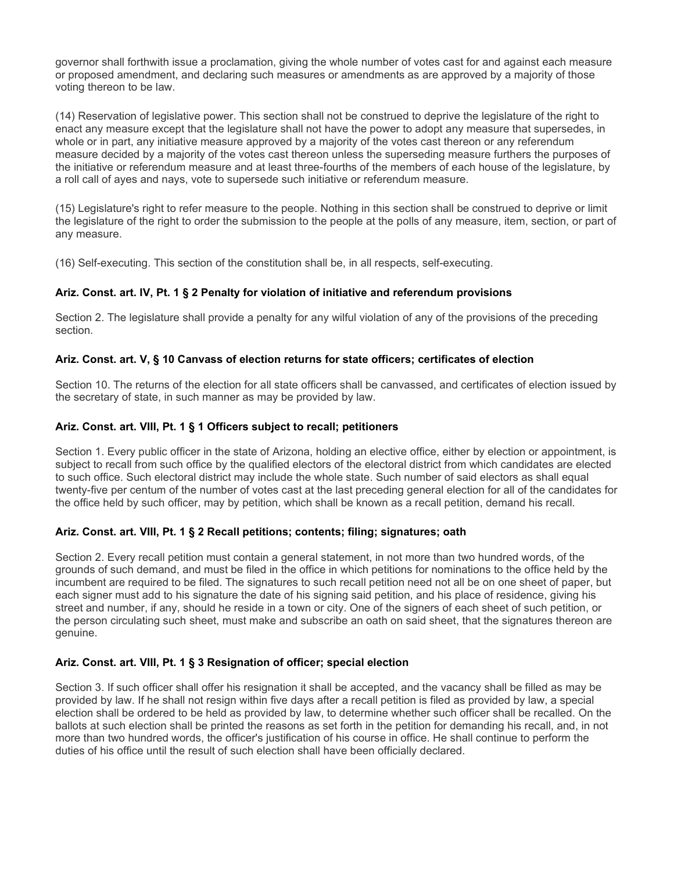governor shall forthwith issue a proclamation, giving the whole number of votes cast for and against each measure or proposed amendment, and declaring such measures or amendments as are approved by a majority of those voting thereon to be law.

(14) Reservation of legislative power. This section shall not be construed to deprive the legislature of the right to enact any measure except that the legislature shall not have the power to adopt any measure that supersedes, in whole or in part, any initiative measure approved by a majority of the votes cast thereon or any referendum measure decided by a majority of the votes cast thereon unless the superseding measure furthers the purposes of the initiative or referendum measure and at least three-fourths of the members of each house of the legislature, by a roll call of ayes and nays, vote to supersede such initiative or referendum measure.

(15) Legislature's right to refer measure to the people. Nothing in this section shall be construed to deprive or limit the legislature of the right to order the submission to the people at the polls of any measure, item, section, or part of any measure.

(16) Self-executing. This section of the constitution shall be, in all respects, self-executing.

## **Ariz. Const. art. IV, Pt. 1 § 2 Penalty for violation of initiative and referendum provisions**

Section 2. The legislature shall provide a penalty for any wilful violation of any of the provisions of the preceding section.

### **Ariz. Const. art. V, § 10 Canvass of election returns for state officers; certificates of election**

Section 10. The returns of the election for all state officers shall be canvassed, and certificates of election issued by the secretary of state, in such manner as may be provided by law.

### **Ariz. Const. art. VIII, Pt. 1 § 1 Officers subject to recall; petitioners**

Section 1. Every public officer in the state of Arizona, holding an elective office, either by election or appointment, is subject to recall from such office by the qualified electors of the electoral district from which candidates are elected to such office. Such electoral district may include the whole state. Such number of said electors as shall equal twenty-five per centum of the number of votes cast at the last preceding general election for all of the candidates for the office held by such officer, may by petition, which shall be known as a recall petition, demand his recall.

### **Ariz. Const. art. VIII, Pt. 1 § 2 Recall petitions; contents; filing; signatures; oath**

Section 2. Every recall petition must contain a general statement, in not more than two hundred words, of the grounds of such demand, and must be filed in the office in which petitions for nominations to the office held by the incumbent are required to be filed. The signatures to such recall petition need not all be on one sheet of paper, but each signer must add to his signature the date of his signing said petition, and his place of residence, giving his street and number, if any, should he reside in a town or city. One of the signers of each sheet of such petition, or the person circulating such sheet, must make and subscribe an oath on said sheet, that the signatures thereon are genuine.

## **Ariz. Const. art. VIII, Pt. 1 § 3 Resignation of officer; special election**

Section 3. If such officer shall offer his resignation it shall be accepted, and the vacancy shall be filled as may be provided by law. If he shall not resign within five days after a recall petition is filed as provided by law, a special election shall be ordered to be held as provided by law, to determine whether such officer shall be recalled. On the ballots at such election shall be printed the reasons as set forth in the petition for demanding his recall, and, in not more than two hundred words, the officer's justification of his course in office. He shall continue to perform the duties of his office until the result of such election shall have been officially declared.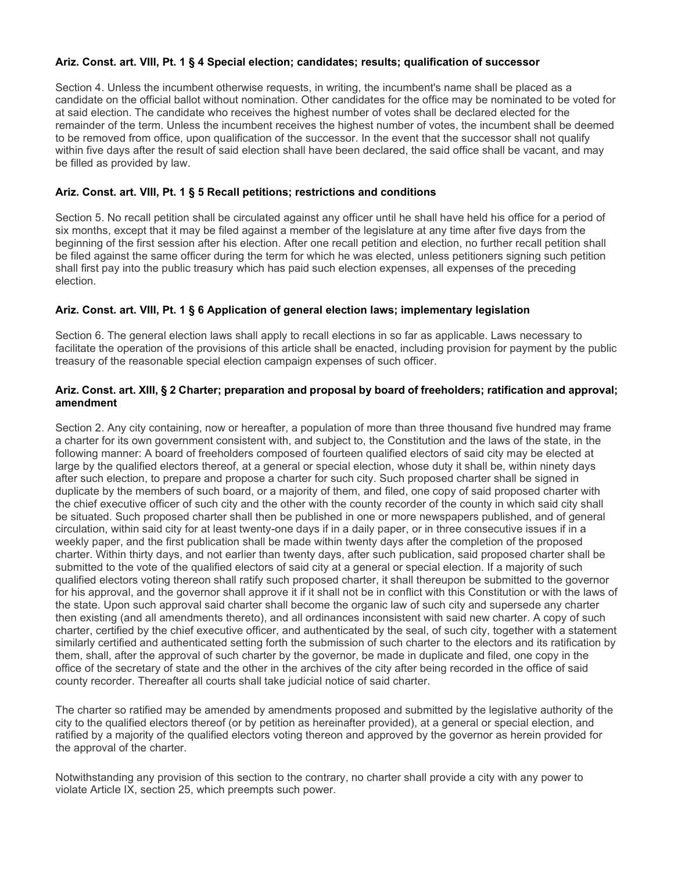### **Ariz. Const. art. VIII, Pt. 1 § 4 Special election; candidates; results; qualification of successor**

Section 4. Unless the incumbent otherwise requests, in writing, the incumbent's name shall be placed as a candidate on the official ballot without nomination. Other candidates for the office may be nominated to be voted for at said election. The candidate who receives the highest number of votes shall be declared elected for the remainder of the term. Unless the incumbent receives the highest number of votes, the incumbent shall be deemed to be removed from office, upon qualification of the successor. In the event that the successor shall not qualify within five days after the result of said election shall have been declared, the said office shall be vacant, and may be filled as provided by law.

# **Ariz. Const. art. VIII, Pt. 1 § 5 Recall petitions; restrictions and conditions**

Section 5. No recall petition shall be circulated against any officer until he shall have held his office for a period of six months, except that it may be filed against a member of the legislature at any time after five days from the beginning of the first session after his election. After one recall petition and election, no further recall petition shall be filed against the same officer during the term for which he was elected, unless petitioners signing such petition shall first pay into the public treasury which has paid such election expenses, all expenses of the preceding election.

### **Ariz. Const. art. VIII, Pt. 1 § 6 Application of general election laws; implementary legislation**

Section 6. The general election laws shall apply to recall elections in so far as applicable. Laws necessary to facilitate the operation of the provisions of this article shall be enacted, including provision for payment by the public treasury of the reasonable special election campaign expenses of such officer.

### **Ariz. Const. art. XIII, § 2 Charter; preparation and proposal by board of freeholders; ratification and approval; amendment**

Section 2. Any city containing, now or hereafter, a population of more than three thousand five hundred may frame a charter for its own government consistent with, and subject to, the Constitution and the laws of the state, in the following manner: A board of freeholders composed of fourteen qualified electors of said city may be elected at large by the qualified electors thereof, at a general or special election, whose duty it shall be, within ninety days after such election, to prepare and propose a charter for such city. Such proposed charter shall be signed in duplicate by the members of such board, or a majority of them, and filed, one copy of said proposed charter with the chief executive officer of such city and the other with the county recorder of the county in which said city shall be situated. Such proposed charter shall then be published in one or more newspapers published, and of general circulation, within said city for at least twenty-one days if in a daily paper, or in three consecutive issues if in a weekly paper, and the first publication shall be made within twenty days after the completion of the proposed charter. Within thirty days, and not earlier than twenty days, after such publication, said proposed charter shall be submitted to the vote of the qualified electors of said city at a general or special election. If a majority of such qualified electors voting thereon shall ratify such proposed charter, it shall thereupon be submitted to the governor for his approval, and the governor shall approve it if it shall not be in conflict with this Constitution or with the laws of the state. Upon such approval said charter shall become the organic law of such city and supersede any charter then existing (and all amendments thereto), and all ordinances inconsistent with said new charter. A copy of such charter, certified by the chief executive officer, and authenticated by the seal, of such city, together with a statement similarly certified and authenticated setting forth the submission of such charter to the electors and its ratification by them, shall, after the approval of such charter by the governor, be made in duplicate and filed, one copy in the office of the secretary of state and the other in the archives of the city after being recorded in the office of said county recorder. Thereafter all courts shall take judicial notice of said charter.

The charter so ratified may be amended by amendments proposed and submitted by the legislative authority of the city to the qualified electors thereof (or by petition as hereinafter provided), at a general or special election, and ratified by a majority of the qualified electors voting thereon and approved by the governor as herein provided for the approval of the charter.

Notwithstanding any provision of this section to the contrary, no charter shall provide a city with any power to violate Article IX, section 25, which preempts such power.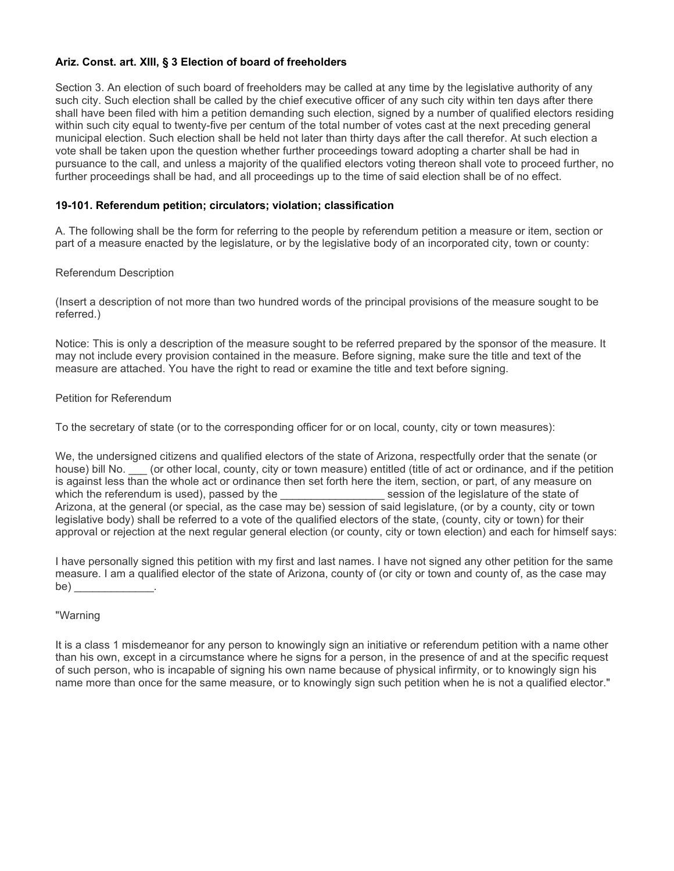## **Ariz. Const. art. XIII, § 3 Election of board of freeholders**

Section 3. An election of such board of freeholders may be called at any time by the legislative authority of any such city. Such election shall be called by the chief executive officer of any such city within ten days after there shall have been filed with him a petition demanding such election, signed by a number of qualified electors residing within such city equal to twenty-five per centum of the total number of votes cast at the next preceding general municipal election. Such election shall be held not later than thirty days after the call therefor. At such election a vote shall be taken upon the question whether further proceedings toward adopting a charter shall be had in pursuance to the call, and unless a majority of the qualified electors voting thereon shall vote to proceed further, no further proceedings shall be had, and all proceedings up to the time of said election shall be of no effect.

### **19-101. Referendum petition; circulators; violation; classification**

A. The following shall be the form for referring to the people by referendum petition a measure or item, section or part of a measure enacted by the legislature, or by the legislative body of an incorporated city, town or county:

### Referendum Description

(Insert a description of not more than two hundred words of the principal provisions of the measure sought to be referred.)

Notice: This is only a description of the measure sought to be referred prepared by the sponsor of the measure. It may not include every provision contained in the measure. Before signing, make sure the title and text of the measure are attached. You have the right to read or examine the title and text before signing.

### Petition for Referendum

To the secretary of state (or to the corresponding officer for or on local, county, city or town measures):

We, the undersigned citizens and qualified electors of the state of Arizona, respectfully order that the senate (or house) bill No. (or other local, county, city or town measure) entitled (title of act or ordinance, and if the petition is against less than the whole act or ordinance then set forth here the item, section, or part, of any measure on which the referendum is used), passed by the \_\_\_\_\_\_\_\_\_\_\_\_\_\_\_\_\_ session of the legislature of the state of Arizona, at the general (or special, as the case may be) session of said legislature, (or by a county, city or town legislative body) shall be referred to a vote of the qualified electors of the state, (county, city or town) for their approval or rejection at the next regular general election (or county, city or town election) and each for himself says:

I have personally signed this petition with my first and last names. I have not signed any other petition for the same measure. I am a qualified elector of the state of Arizona, county of (or city or town and county of, as the case may be) \_\_\_\_\_\_\_\_\_\_\_\_\_.

### "Warning

It is a class 1 misdemeanor for any person to knowingly sign an initiative or referendum petition with a name other than his own, except in a circumstance where he signs for a person, in the presence of and at the specific request of such person, who is incapable of signing his own name because of physical infirmity, or to knowingly sign his name more than once for the same measure, or to knowingly sign such petition when he is not a qualified elector."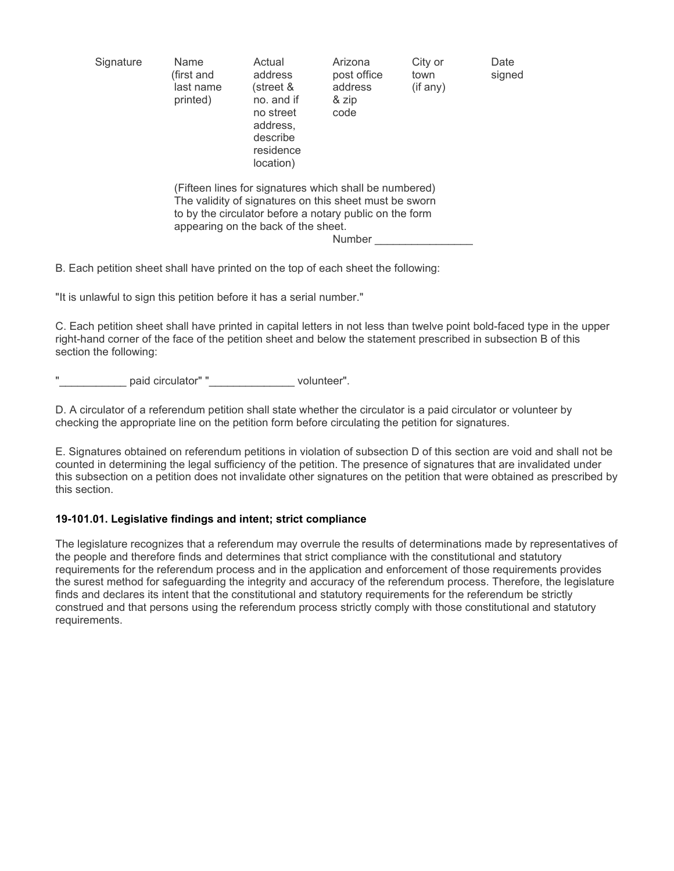| Signature | Name<br>(first and<br>last name<br>printed)                                                                                                                                                                                  | Actual<br>address<br>(street &<br>no, and if<br>no street<br>address.<br>describe<br>residence<br>location) | Arizona<br>post office<br>address<br>& zip<br>code | City or<br>town<br>(i f any) | Date<br>signed |  |  |
|-----------|------------------------------------------------------------------------------------------------------------------------------------------------------------------------------------------------------------------------------|-------------------------------------------------------------------------------------------------------------|----------------------------------------------------|------------------------------|----------------|--|--|
|           | (Fifteen lines for signatures which shall be numbered)<br>The validity of signatures on this sheet must be sworn<br>to by the circulator before a notary public on the form<br>appearing on the back of the sheet.<br>Number |                                                                                                             |                                                    |                              |                |  |  |

B. Each petition sheet shall have printed on the top of each sheet the following:

"It is unlawful to sign this petition before it has a serial number."

C. Each petition sheet shall have printed in capital letters in not less than twelve point bold-faced type in the upper right-hand corner of the face of the petition sheet and below the statement prescribed in subsection B of this section the following:

paid circulator" " [20] volunteer".

D. A circulator of a referendum petition shall state whether the circulator is a paid circulator or volunteer by checking the appropriate line on the petition form before circulating the petition for signatures.

E. Signatures obtained on referendum petitions in violation of subsection D of this section are void and shall not be counted in determining the legal sufficiency of the petition. The presence of signatures that are invalidated under this subsection on a petition does not invalidate other signatures on the petition that were obtained as prescribed by this section.

### **19-101.01. Legislative findings and intent; strict compliance**

The legislature recognizes that a referendum may overrule the results of determinations made by representatives of the people and therefore finds and determines that strict compliance with the constitutional and statutory requirements for the referendum process and in the application and enforcement of those requirements provides the surest method for safeguarding the integrity and accuracy of the referendum process. Therefore, the legislature finds and declares its intent that the constitutional and statutory requirements for the referendum be strictly construed and that persons using the referendum process strictly comply with those constitutional and statutory requirements.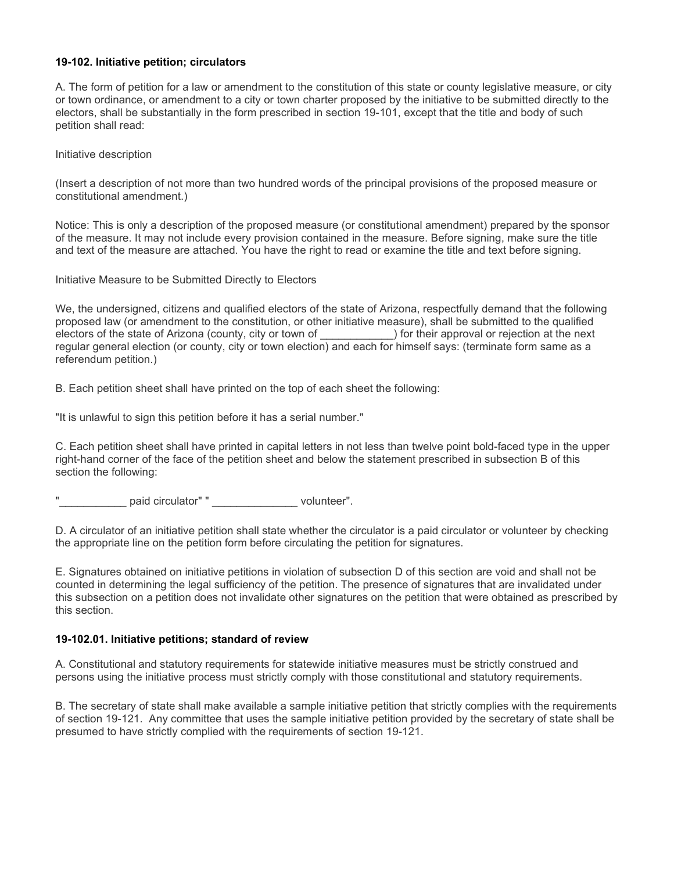### **19-102. Initiative petition; circulators**

A. The form of petition for a law or amendment to the constitution of this state or county legislative measure, or city or town ordinance, or amendment to a city or town charter proposed by the initiative to be submitted directly to the electors, shall be substantially in the form prescribed in section 19-101, except that the title and body of such petition shall read:

Initiative description

(Insert a description of not more than two hundred words of the principal provisions of the proposed measure or constitutional amendment.)

Notice: This is only a description of the proposed measure (or constitutional amendment) prepared by the sponsor of the measure. It may not include every provision contained in the measure. Before signing, make sure the title and text of the measure are attached. You have the right to read or examine the title and text before signing.

Initiative Measure to be Submitted Directly to Electors

We, the undersigned, citizens and qualified electors of the state of Arizona, respectfully demand that the following proposed law (or amendment to the constitution, or other initiative measure), shall be submitted to the qualified electors of the state of Arizona (county, city or town of \_\_\_\_\_\_\_\_\_\_\_\_) for their approval or rejection at the next regular general election (or county, city or town election) and each for himself says: (terminate form same as a referendum petition.)

B. Each petition sheet shall have printed on the top of each sheet the following:

"It is unlawful to sign this petition before it has a serial number."

C. Each petition sheet shall have printed in capital letters in not less than twelve point bold-faced type in the upper right-hand corner of the face of the petition sheet and below the statement prescribed in subsection B of this section the following:

paid circulator" " The contract volunteer".

D. A circulator of an initiative petition shall state whether the circulator is a paid circulator or volunteer by checking the appropriate line on the petition form before circulating the petition for signatures.

E. Signatures obtained on initiative petitions in violation of subsection D of this section are void and shall not be counted in determining the legal sufficiency of the petition. The presence of signatures that are invalidated under this subsection on a petition does not invalidate other signatures on the petition that were obtained as prescribed by this section.

### **19-102.01. Initiative petitions; standard of review**

A. Constitutional and statutory requirements for statewide initiative measures must be strictly construed and persons using the initiative process must strictly comply with those constitutional and statutory requirements.

B. The secretary of state shall make available a sample initiative petition that strictly complies with the requirements of section 19-121. Any committee that uses the sample initiative petition provided by the secretary of state shall be presumed to have strictly complied with the requirements of section 19-121.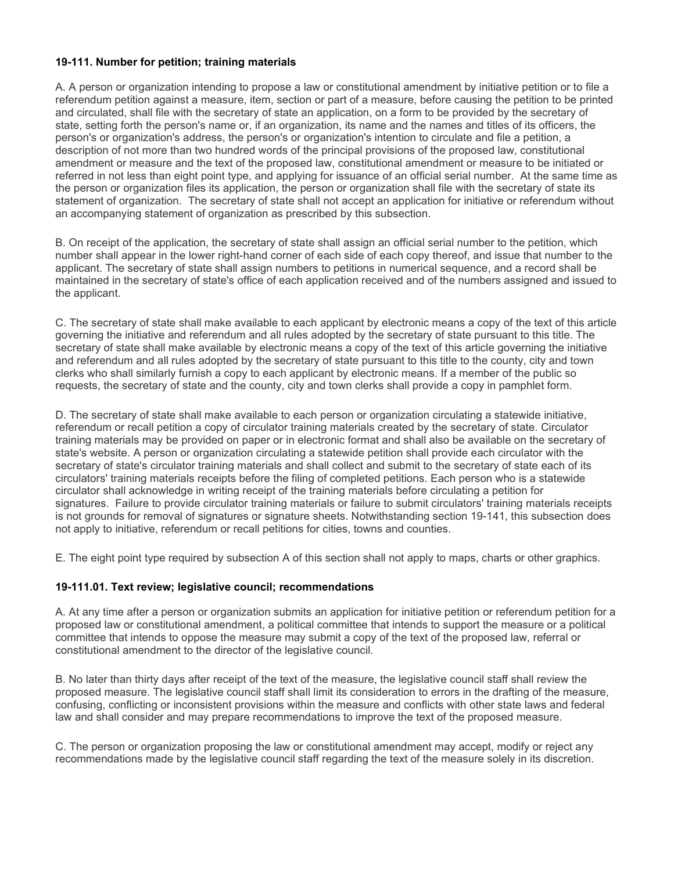### **19-111. Number for petition; training materials**

A. A person or organization intending to propose a law or constitutional amendment by initiative petition or to file a referendum petition against a measure, item, section or part of a measure, before causing the petition to be printed and circulated, shall file with the secretary of state an application, on a form to be provided by the secretary of state, setting forth the person's name or, if an organization, its name and the names and titles of its officers, the person's or organization's address, the person's or organization's intention to circulate and file a petition, a description of not more than two hundred words of the principal provisions of the proposed law, constitutional amendment or measure and the text of the proposed law, constitutional amendment or measure to be initiated or referred in not less than eight point type, and applying for issuance of an official serial number. At the same time as the person or organization files its application, the person or organization shall file with the secretary of state its statement of organization. The secretary of state shall not accept an application for initiative or referendum without an accompanying statement of organization as prescribed by this subsection.

B. On receipt of the application, the secretary of state shall assign an official serial number to the petition, which number shall appear in the lower right-hand corner of each side of each copy thereof, and issue that number to the applicant. The secretary of state shall assign numbers to petitions in numerical sequence, and a record shall be maintained in the secretary of state's office of each application received and of the numbers assigned and issued to the applicant.

C. The secretary of state shall make available to each applicant by electronic means a copy of the text of this article governing the initiative and referendum and all rules adopted by the secretary of state pursuant to this title. The secretary of state shall make available by electronic means a copy of the text of this article governing the initiative and referendum and all rules adopted by the secretary of state pursuant to this title to the county, city and town clerks who shall similarly furnish a copy to each applicant by electronic means. If a member of the public so requests, the secretary of state and the county, city and town clerks shall provide a copy in pamphlet form.

D. The secretary of state shall make available to each person or organization circulating a statewide initiative, referendum or recall petition a copy of circulator training materials created by the secretary of state. Circulator training materials may be provided on paper or in electronic format and shall also be available on the secretary of state's website. A person or organization circulating a statewide petition shall provide each circulator with the secretary of state's circulator training materials and shall collect and submit to the secretary of state each of its circulators' training materials receipts before the filing of completed petitions. Each person who is a statewide circulator shall acknowledge in writing receipt of the training materials before circulating a petition for signatures. Failure to provide circulator training materials or failure to submit circulators' training materials receipts is not grounds for removal of signatures or signature sheets. Notwithstanding section 19-141, this subsection does not apply to initiative, referendum or recall petitions for cities, towns and counties.

E. The eight point type required by subsection A of this section shall not apply to maps, charts or other graphics.

## **19-111.01. Text review; legislative council; recommendations**

A. At any time after a person or organization submits an application for initiative petition or referendum petition for a proposed law or constitutional amendment, a political committee that intends to support the measure or a political committee that intends to oppose the measure may submit a copy of the text of the proposed law, referral or constitutional amendment to the director of the legislative council.

B. No later than thirty days after receipt of the text of the measure, the legislative council staff shall review the proposed measure. The legislative council staff shall limit its consideration to errors in the drafting of the measure, confusing, conflicting or inconsistent provisions within the measure and conflicts with other state laws and federal law and shall consider and may prepare recommendations to improve the text of the proposed measure.

C. The person or organization proposing the law or constitutional amendment may accept, modify or reject any recommendations made by the legislative council staff regarding the text of the measure solely in its discretion.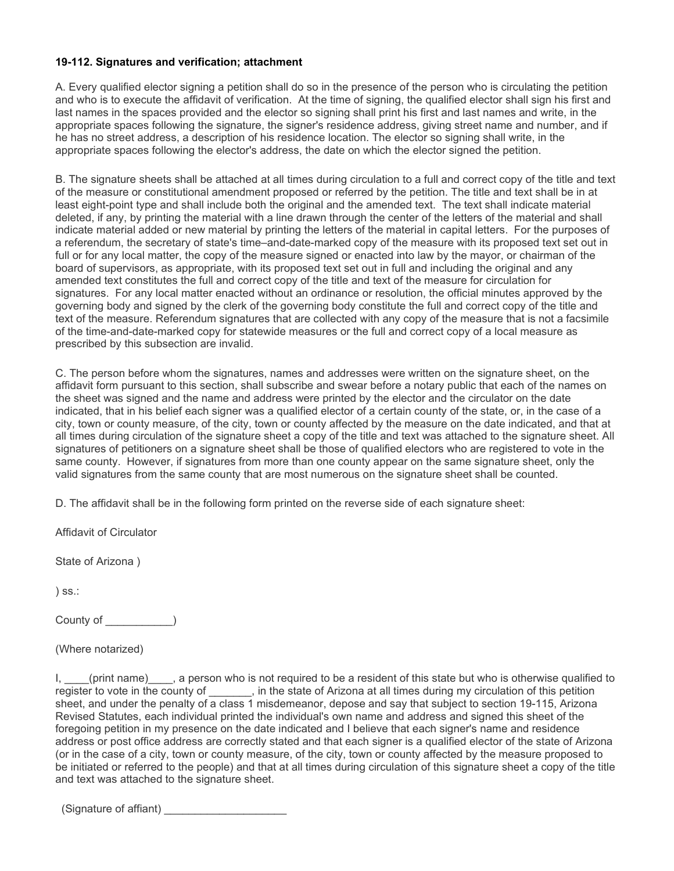### **19-112. Signatures and verification; attachment**

A. Every qualified elector signing a petition shall do so in the presence of the person who is circulating the petition and who is to execute the affidavit of verification. At the time of signing, the qualified elector shall sign his first and last names in the spaces provided and the elector so signing shall print his first and last names and write, in the appropriate spaces following the signature, the signer's residence address, giving street name and number, and if he has no street address, a description of his residence location. The elector so signing shall write, in the appropriate spaces following the elector's address, the date on which the elector signed the petition.

B. The signature sheets shall be attached at all times during circulation to a full and correct copy of the title and text of the measure or constitutional amendment proposed or referred by the petition. The title and text shall be in at least eight-point type and shall include both the original and the amended text. The text shall indicate material deleted, if any, by printing the material with a line drawn through the center of the letters of the material and shall indicate material added or new material by printing the letters of the material in capital letters. For the purposes of a referendum, the secretary of state's time–and-date-marked copy of the measure with its proposed text set out in full or for any local matter, the copy of the measure signed or enacted into law by the mayor, or chairman of the board of supervisors, as appropriate, with its proposed text set out in full and including the original and any amended text constitutes the full and correct copy of the title and text of the measure for circulation for signatures. For any local matter enacted without an ordinance or resolution, the official minutes approved by the governing body and signed by the clerk of the governing body constitute the full and correct copy of the title and text of the measure. Referendum signatures that are collected with any copy of the measure that is not a facsimile of the time-and-date-marked copy for statewide measures or the full and correct copy of a local measure as prescribed by this subsection are invalid.

C. The person before whom the signatures, names and addresses were written on the signature sheet, on the affidavit form pursuant to this section, shall subscribe and swear before a notary public that each of the names on the sheet was signed and the name and address were printed by the elector and the circulator on the date indicated, that in his belief each signer was a qualified elector of a certain county of the state, or, in the case of a city, town or county measure, of the city, town or county affected by the measure on the date indicated, and that at all times during circulation of the signature sheet a copy of the title and text was attached to the signature sheet. All signatures of petitioners on a signature sheet shall be those of qualified electors who are registered to vote in the same county. However, if signatures from more than one county appear on the same signature sheet, only the valid signatures from the same county that are most numerous on the signature sheet shall be counted.

D. The affidavit shall be in the following form printed on the reverse side of each signature sheet:

Affidavit of Circulator

State of Arizona )

) ss.:

County of  $\qquad \qquad$ )

(Where notarized)

I, (print name), a person who is not required to be a resident of this state but who is otherwise qualified to register to vote in the county of \_\_\_\_\_\_, in the state of Arizona at all times during my circulation of this petition sheet, and under the penalty of a class 1 misdemeanor, depose and say that subject to section 19-115, Arizona Revised Statutes, each individual printed the individual's own name and address and signed this sheet of the foregoing petition in my presence on the date indicated and I believe that each signer's name and residence address or post office address are correctly stated and that each signer is a qualified elector of the state of Arizona (or in the case of a city, town or county measure, of the city, town or county affected by the measure proposed to be initiated or referred to the people) and that at all times during circulation of this signature sheet a copy of the title and text was attached to the signature sheet.

(Signature of affiant)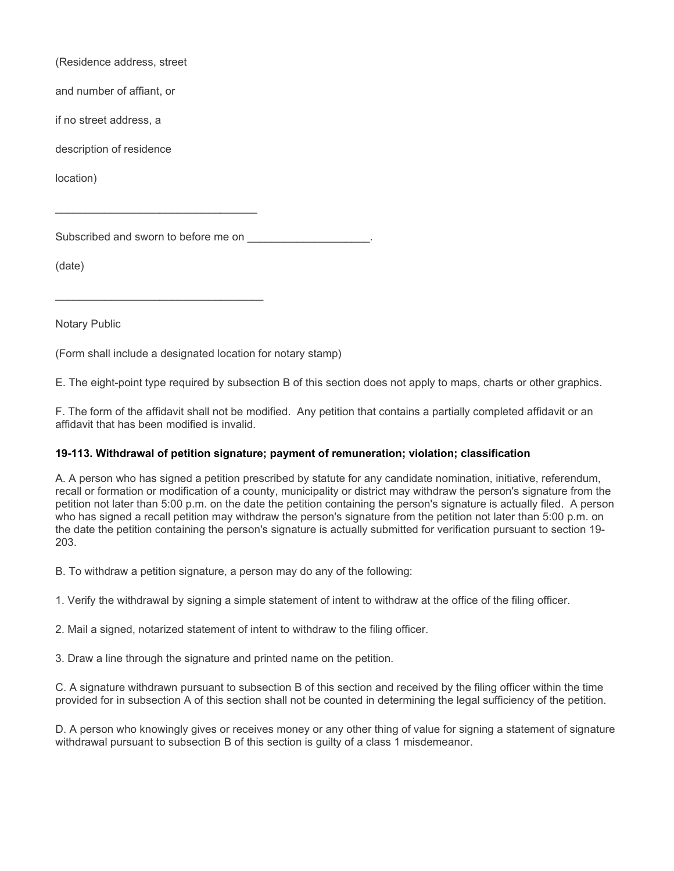(Residence address, street

and number of affiant, or

if no street address, a

description of residence

 $\mathcal{L}_\text{max}$  , and the set of the set of the set of the set of the set of the set of the set of the set of the set of the set of the set of the set of the set of the set of the set of the set of the set of the set of the

 $\mathcal{L}_\text{max}$  and  $\mathcal{L}_\text{max}$  and  $\mathcal{L}_\text{max}$  and  $\mathcal{L}_\text{max}$ 

location)

Subscribed and sworn to before me on

(date)

Notary Public

(Form shall include a designated location for notary stamp)

E. The eight-point type required by subsection B of this section does not apply to maps, charts or other graphics.

F. The form of the affidavit shall not be modified. Any petition that contains a partially completed affidavit or an affidavit that has been modified is invalid.

### **19-113. Withdrawal of petition signature; payment of remuneration; violation; classification**

A. A person who has signed a petition prescribed by statute for any candidate nomination, initiative, referendum, recall or formation or modification of a county, municipality or district may withdraw the person's signature from the petition not later than 5:00 p.m. on the date the petition containing the person's signature is actually filed. A person who has signed a recall petition may withdraw the person's signature from the petition not later than 5:00 p.m. on the date the petition containing the person's signature is actually submitted for verification pursuant to section 19- 203.

B. To withdraw a petition signature, a person may do any of the following:

1. Verify the withdrawal by signing a simple statement of intent to withdraw at the office of the filing officer.

2. Mail a signed, notarized statement of intent to withdraw to the filing officer.

3. Draw a line through the signature and printed name on the petition.

C. A signature withdrawn pursuant to subsection B of this section and received by the filing officer within the time provided for in subsection A of this section shall not be counted in determining the legal sufficiency of the petition.

D. A person who knowingly gives or receives money or any other thing of value for signing a statement of signature withdrawal pursuant to subsection B of this section is guilty of a class 1 misdemeanor.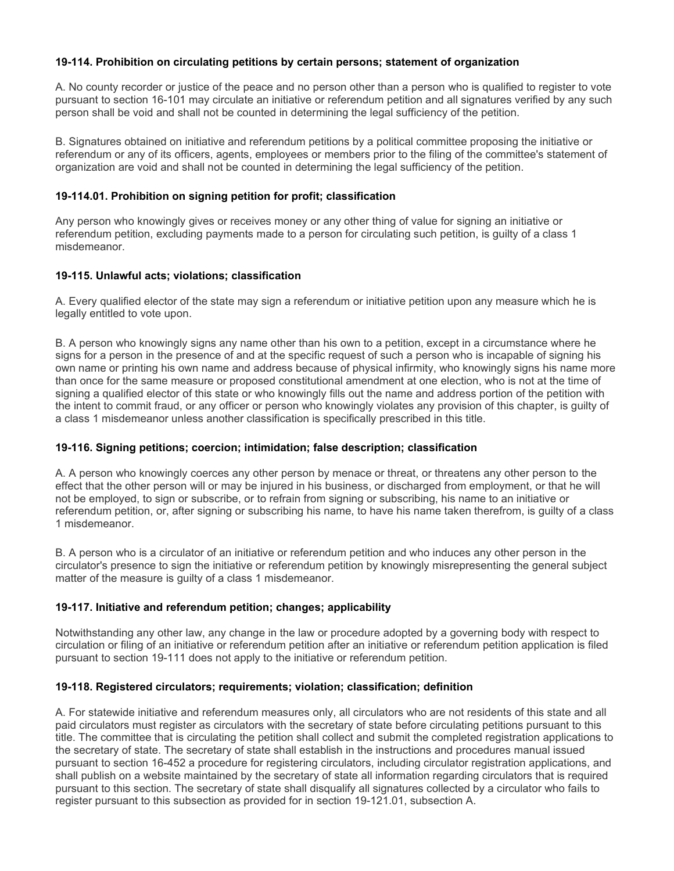## **19-114. Prohibition on circulating petitions by certain persons; statement of organization**

A. No county recorder or justice of the peace and no person other than a person who is qualified to register to vote pursuant to section 16-101 may circulate an initiative or referendum petition and all signatures verified by any such person shall be void and shall not be counted in determining the legal sufficiency of the petition.

B. Signatures obtained on initiative and referendum petitions by a political committee proposing the initiative or referendum or any of its officers, agents, employees or members prior to the filing of the committee's statement of organization are void and shall not be counted in determining the legal sufficiency of the petition.

### **19-114.01. Prohibition on signing petition for profit; classification**

Any person who knowingly gives or receives money or any other thing of value for signing an initiative or referendum petition, excluding payments made to a person for circulating such petition, is guilty of a class 1 misdemeanor.

## **19-115. Unlawful acts; violations; classification**

A. Every qualified elector of the state may sign a referendum or initiative petition upon any measure which he is legally entitled to vote upon.

B. A person who knowingly signs any name other than his own to a petition, except in a circumstance where he signs for a person in the presence of and at the specific request of such a person who is incapable of signing his own name or printing his own name and address because of physical infirmity, who knowingly signs his name more than once for the same measure or proposed constitutional amendment at one election, who is not at the time of signing a qualified elector of this state or who knowingly fills out the name and address portion of the petition with the intent to commit fraud, or any officer or person who knowingly violates any provision of this chapter, is guilty of a class 1 misdemeanor unless another classification is specifically prescribed in this title.

## **19-116. Signing petitions; coercion; intimidation; false description; classification**

A. A person who knowingly coerces any other person by menace or threat, or threatens any other person to the effect that the other person will or may be injured in his business, or discharged from employment, or that he will not be employed, to sign or subscribe, or to refrain from signing or subscribing, his name to an initiative or referendum petition, or, after signing or subscribing his name, to have his name taken therefrom, is guilty of a class 1 misdemeanor.

B. A person who is a circulator of an initiative or referendum petition and who induces any other person in the circulator's presence to sign the initiative or referendum petition by knowingly misrepresenting the general subject matter of the measure is guilty of a class 1 misdemeanor.

## **19-117. Initiative and referendum petition; changes; applicability**

Notwithstanding any other law, any change in the law or procedure adopted by a governing body with respect to circulation or filing of an initiative or referendum petition after an initiative or referendum petition application is filed pursuant to section 19-111 does not apply to the initiative or referendum petition.

### **19-118. Registered circulators; requirements; violation; classification; definition**

A. For statewide initiative and referendum measures only, all circulators who are not residents of this state and all paid circulators must register as circulators with the secretary of state before circulating petitions pursuant to this title. The committee that is circulating the petition shall collect and submit the completed registration applications to the secretary of state. The secretary of state shall establish in the instructions and procedures manual issued pursuant to section 16-452 a procedure for registering circulators, including circulator registration applications, and shall publish on a website maintained by the secretary of state all information regarding circulators that is required pursuant to this section. The secretary of state shall disqualify all signatures collected by a circulator who fails to register pursuant to this subsection as provided for in section 19-121.01, subsection A.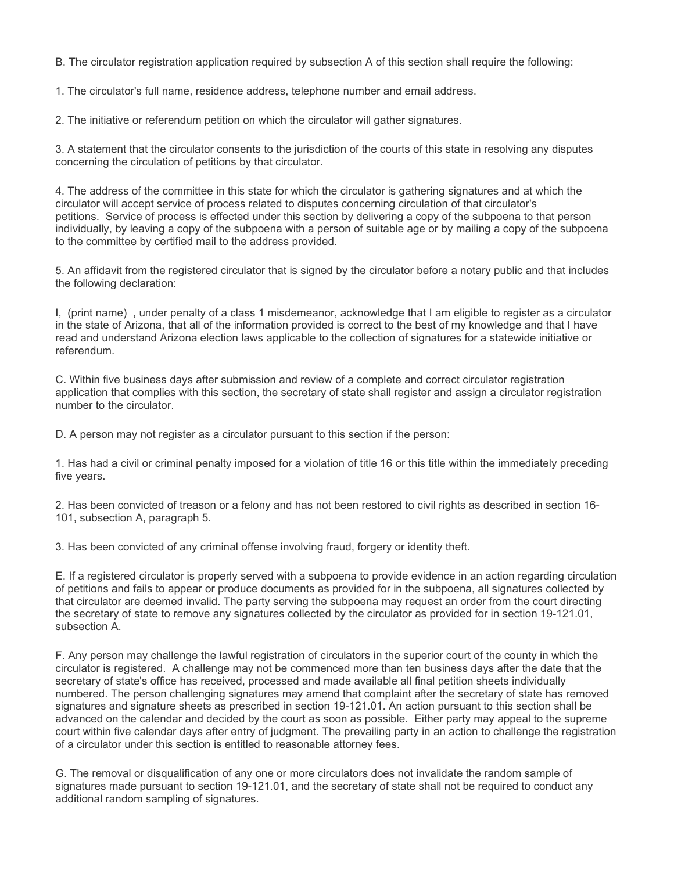B. The circulator registration application required by subsection A of this section shall require the following:

1. The circulator's full name, residence address, telephone number and email address.

2. The initiative or referendum petition on which the circulator will gather signatures.

3. A statement that the circulator consents to the jurisdiction of the courts of this state in resolving any disputes concerning the circulation of petitions by that circulator.

4. The address of the committee in this state for which the circulator is gathering signatures and at which the circulator will accept service of process related to disputes concerning circulation of that circulator's petitions. Service of process is effected under this section by delivering a copy of the subpoena to that person individually, by leaving a copy of the subpoena with a person of suitable age or by mailing a copy of the subpoena to the committee by certified mail to the address provided.

5. An affidavit from the registered circulator that is signed by the circulator before a notary public and that includes the following declaration:

I, (print name) , under penalty of a class 1 misdemeanor, acknowledge that I am eligible to register as a circulator in the state of Arizona, that all of the information provided is correct to the best of my knowledge and that I have read and understand Arizona election laws applicable to the collection of signatures for a statewide initiative or referendum.

C. Within five business days after submission and review of a complete and correct circulator registration application that complies with this section, the secretary of state shall register and assign a circulator registration number to the circulator.

D. A person may not register as a circulator pursuant to this section if the person:

1. Has had a civil or criminal penalty imposed for a violation of title 16 or this title within the immediately preceding five years.

2. Has been convicted of treason or a felony and has not been restored to civil rights as described in section 16- 101, subsection A, paragraph 5.

3. Has been convicted of any criminal offense involving fraud, forgery or identity theft.

E. If a registered circulator is properly served with a subpoena to provide evidence in an action regarding circulation of petitions and fails to appear or produce documents as provided for in the subpoena, all signatures collected by that circulator are deemed invalid. The party serving the subpoena may request an order from the court directing the secretary of state to remove any signatures collected by the circulator as provided for in section 19-121.01, subsection A.

F. Any person may challenge the lawful registration of circulators in the superior court of the county in which the circulator is registered. A challenge may not be commenced more than ten business days after the date that the secretary of state's office has received, processed and made available all final petition sheets individually numbered. The person challenging signatures may amend that complaint after the secretary of state has removed signatures and signature sheets as prescribed in section 19-121.01. An action pursuant to this section shall be advanced on the calendar and decided by the court as soon as possible. Either party may appeal to the supreme court within five calendar days after entry of judgment. The prevailing party in an action to challenge the registration of a circulator under this section is entitled to reasonable attorney fees.

G. The removal or disqualification of any one or more circulators does not invalidate the random sample of signatures made pursuant to section 19-121.01, and the secretary of state shall not be required to conduct any additional random sampling of signatures.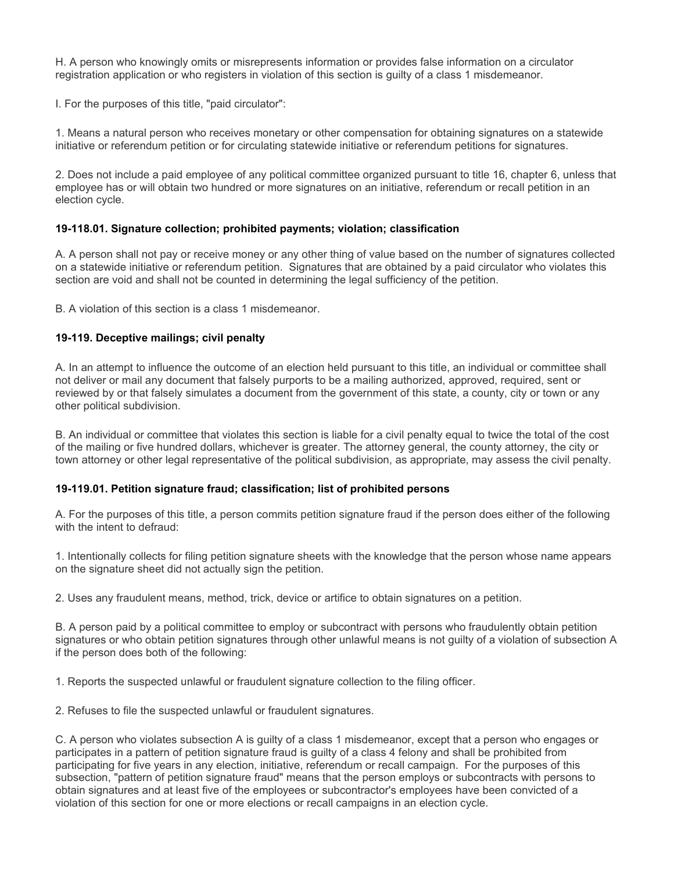H. A person who knowingly omits or misrepresents information or provides false information on a circulator registration application or who registers in violation of this section is guilty of a class 1 misdemeanor.

I. For the purposes of this title, "paid circulator":

1. Means a natural person who receives monetary or other compensation for obtaining signatures on a statewide initiative or referendum petition or for circulating statewide initiative or referendum petitions for signatures.

2. Does not include a paid employee of any political committee organized pursuant to title 16, chapter 6, unless that employee has or will obtain two hundred or more signatures on an initiative, referendum or recall petition in an election cycle.

### **19-118.01. Signature collection; prohibited payments; violation; classification**

A. A person shall not pay or receive money or any other thing of value based on the number of signatures collected on a statewide initiative or referendum petition. Signatures that are obtained by a paid circulator who violates this section are void and shall not be counted in determining the legal sufficiency of the petition.

B. A violation of this section is a class 1 misdemeanor.

### **19-119. Deceptive mailings; civil penalty**

A. In an attempt to influence the outcome of an election held pursuant to this title, an individual or committee shall not deliver or mail any document that falsely purports to be a mailing authorized, approved, required, sent or reviewed by or that falsely simulates a document from the government of this state, a county, city or town or any other political subdivision.

B. An individual or committee that violates this section is liable for a civil penalty equal to twice the total of the cost of the mailing or five hundred dollars, whichever is greater. The attorney general, the county attorney, the city or town attorney or other legal representative of the political subdivision, as appropriate, may assess the civil penalty.

### **19-119.01. Petition signature fraud; classification; list of prohibited persons**

A. For the purposes of this title, a person commits petition signature fraud if the person does either of the following with the intent to defraud:

1. Intentionally collects for filing petition signature sheets with the knowledge that the person whose name appears on the signature sheet did not actually sign the petition.

2. Uses any fraudulent means, method, trick, device or artifice to obtain signatures on a petition.

B. A person paid by a political committee to employ or subcontract with persons who fraudulently obtain petition signatures or who obtain petition signatures through other unlawful means is not guilty of a violation of subsection A if the person does both of the following:

1. Reports the suspected unlawful or fraudulent signature collection to the filing officer.

2. Refuses to file the suspected unlawful or fraudulent signatures.

C. A person who violates subsection A is guilty of a class 1 misdemeanor, except that a person who engages or participates in a pattern of petition signature fraud is guilty of a class 4 felony and shall be prohibited from participating for five years in any election, initiative, referendum or recall campaign. For the purposes of this subsection, "pattern of petition signature fraud" means that the person employs or subcontracts with persons to obtain signatures and at least five of the employees or subcontractor's employees have been convicted of a violation of this section for one or more elections or recall campaigns in an election cycle.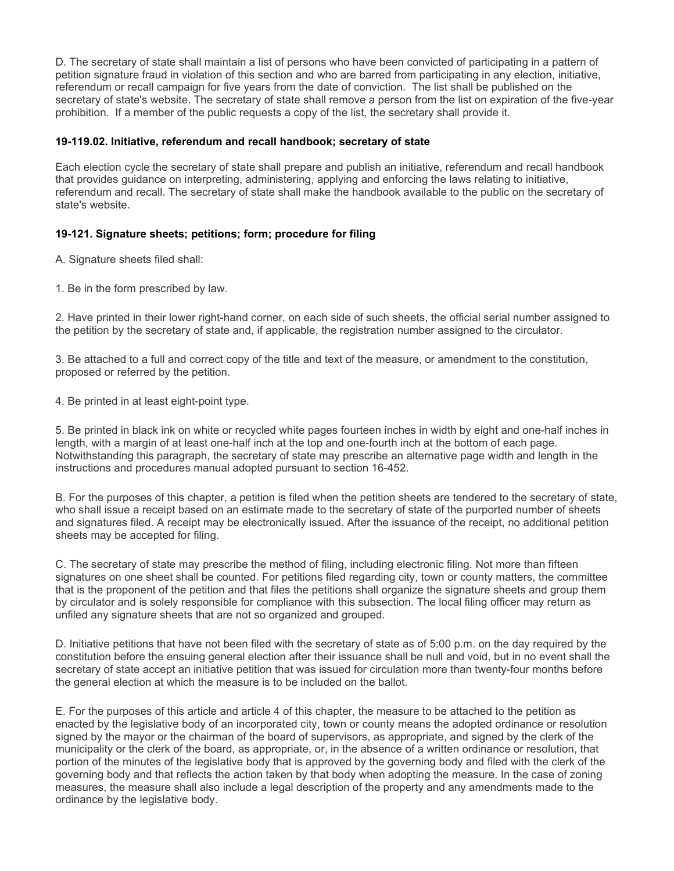D. The secretary of state shall maintain a list of persons who have been convicted of participating in a pattern of petition signature fraud in violation of this section and who are barred from participating in any election, initiative, referendum or recall campaign for five years from the date of conviction. The list shall be published on the secretary of state's website. The secretary of state shall remove a person from the list on expiration of the five-year prohibition. If a member of the public requests a copy of the list, the secretary shall provide it.

## **19-119.02. Initiative, referendum and recall handbook; secretary of state**

Each election cycle the secretary of state shall prepare and publish an initiative, referendum and recall handbook that provides guidance on interpreting, administering, applying and enforcing the laws relating to initiative, referendum and recall. The secretary of state shall make the handbook available to the public on the secretary of state's website.

# **19-121. Signature sheets; petitions; form; procedure for filing**

A. Signature sheets filed shall:

1. Be in the form prescribed by law.

2. Have printed in their lower right-hand corner, on each side of such sheets, the official serial number assigned to the petition by the secretary of state and, if applicable, the registration number assigned to the circulator.

3. Be attached to a full and correct copy of the title and text of the measure, or amendment to the constitution, proposed or referred by the petition.

4. Be printed in at least eight-point type.

5. Be printed in black ink on white or recycled white pages fourteen inches in width by eight and one-half inches in length, with a margin of at least one-half inch at the top and one-fourth inch at the bottom of each page. Notwithstanding this paragraph, the secretary of state may prescribe an alternative page width and length in the instructions and procedures manual adopted pursuant to section 16-452.

B. For the purposes of this chapter, a petition is filed when the petition sheets are tendered to the secretary of state, who shall issue a receipt based on an estimate made to the secretary of state of the purported number of sheets and signatures filed. A receipt may be electronically issued. After the issuance of the receipt, no additional petition sheets may be accepted for filing.

C. The secretary of state may prescribe the method of filing, including electronic filing. Not more than fifteen signatures on one sheet shall be counted. For petitions filed regarding city, town or county matters, the committee that is the proponent of the petition and that files the petitions shall organize the signature sheets and group them by circulator and is solely responsible for compliance with this subsection. The local filing officer may return as unfiled any signature sheets that are not so organized and grouped.

D. Initiative petitions that have not been filed with the secretary of state as of 5:00 p.m. on the day required by the constitution before the ensuing general election after their issuance shall be null and void, but in no event shall the secretary of state accept an initiative petition that was issued for circulation more than twenty-four months before the general election at which the measure is to be included on the ballot.

E. For the purposes of this article and article 4 of this chapter, the measure to be attached to the petition as enacted by the legislative body of an incorporated city, town or county means the adopted ordinance or resolution signed by the mayor or the chairman of the board of supervisors, as appropriate, and signed by the clerk of the municipality or the clerk of the board, as appropriate, or, in the absence of a written ordinance or resolution, that portion of the minutes of the legislative body that is approved by the governing body and filed with the clerk of the governing body and that reflects the action taken by that body when adopting the measure. In the case of zoning measures, the measure shall also include a legal description of the property and any amendments made to the ordinance by the legislative body.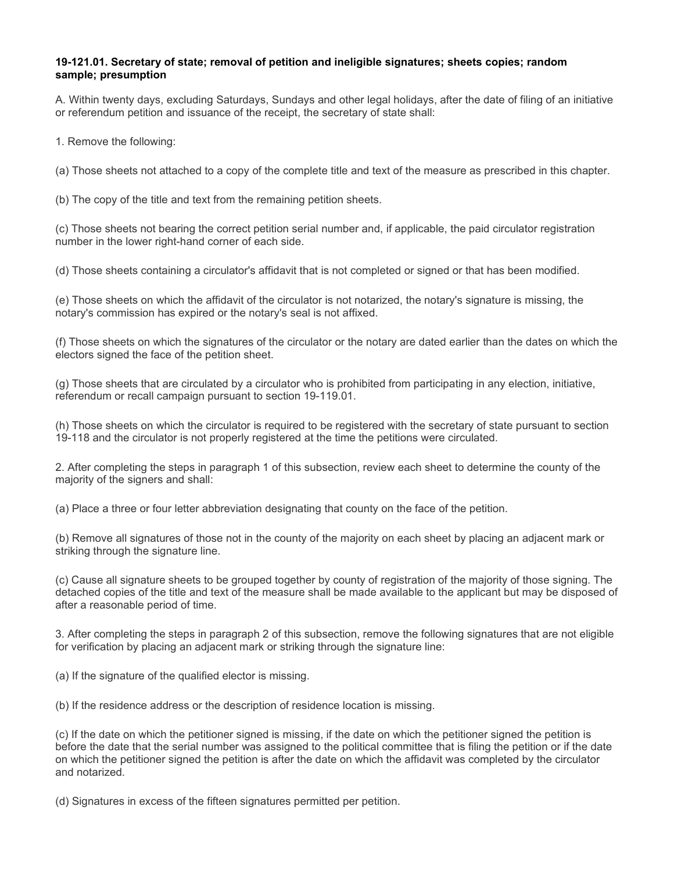### **19-121.01. Secretary of state; removal of petition and ineligible signatures; sheets copies; random sample; presumption**

A. Within twenty days, excluding Saturdays, Sundays and other legal holidays, after the date of filing of an initiative or referendum petition and issuance of the receipt, the secretary of state shall:

1. Remove the following:

(a) Those sheets not attached to a copy of the complete title and text of the measure as prescribed in this chapter.

(b) The copy of the title and text from the remaining petition sheets.

(c) Those sheets not bearing the correct petition serial number and, if applicable, the paid circulator registration number in the lower right-hand corner of each side.

(d) Those sheets containing a circulator's affidavit that is not completed or signed or that has been modified.

(e) Those sheets on which the affidavit of the circulator is not notarized, the notary's signature is missing, the notary's commission has expired or the notary's seal is not affixed.

(f) Those sheets on which the signatures of the circulator or the notary are dated earlier than the dates on which the electors signed the face of the petition sheet.

(g) Those sheets that are circulated by a circulator who is prohibited from participating in any election, initiative, referendum or recall campaign pursuant to section 19-119.01.

(h) Those sheets on which the circulator is required to be registered with the secretary of state pursuant to section 19-118 and the circulator is not properly registered at the time the petitions were circulated.

2. After completing the steps in paragraph 1 of this subsection, review each sheet to determine the county of the majority of the signers and shall:

(a) Place a three or four letter abbreviation designating that county on the face of the petition.

(b) Remove all signatures of those not in the county of the majority on each sheet by placing an adjacent mark or striking through the signature line.

(c) Cause all signature sheets to be grouped together by county of registration of the majority of those signing. The detached copies of the title and text of the measure shall be made available to the applicant but may be disposed of after a reasonable period of time.

3. After completing the steps in paragraph 2 of this subsection, remove the following signatures that are not eligible for verification by placing an adjacent mark or striking through the signature line:

(a) If the signature of the qualified elector is missing.

(b) If the residence address or the description of residence location is missing.

(c) If the date on which the petitioner signed is missing, if the date on which the petitioner signed the petition is before the date that the serial number was assigned to the political committee that is filing the petition or if the date on which the petitioner signed the petition is after the date on which the affidavit was completed by the circulator and notarized.

(d) Signatures in excess of the fifteen signatures permitted per petition.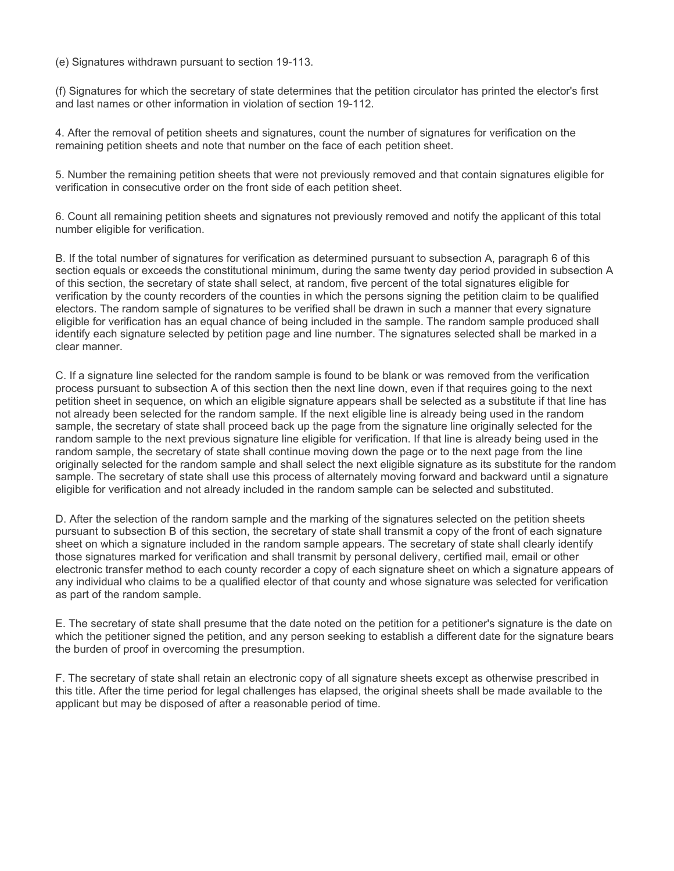(e) Signatures withdrawn pursuant to section 19-113.

(f) Signatures for which the secretary of state determines that the petition circulator has printed the elector's first and last names or other information in violation of section 19-112.

4. After the removal of petition sheets and signatures, count the number of signatures for verification on the remaining petition sheets and note that number on the face of each petition sheet.

5. Number the remaining petition sheets that were not previously removed and that contain signatures eligible for verification in consecutive order on the front side of each petition sheet.

6. Count all remaining petition sheets and signatures not previously removed and notify the applicant of this total number eligible for verification.

B. If the total number of signatures for verification as determined pursuant to subsection A, paragraph 6 of this section equals or exceeds the constitutional minimum, during the same twenty day period provided in subsection A of this section, the secretary of state shall select, at random, five percent of the total signatures eligible for verification by the county recorders of the counties in which the persons signing the petition claim to be qualified electors. The random sample of signatures to be verified shall be drawn in such a manner that every signature eligible for verification has an equal chance of being included in the sample. The random sample produced shall identify each signature selected by petition page and line number. The signatures selected shall be marked in a clear manner.

C. If a signature line selected for the random sample is found to be blank or was removed from the verification process pursuant to subsection A of this section then the next line down, even if that requires going to the next petition sheet in sequence, on which an eligible signature appears shall be selected as a substitute if that line has not already been selected for the random sample. If the next eligible line is already being used in the random sample, the secretary of state shall proceed back up the page from the signature line originally selected for the random sample to the next previous signature line eligible for verification. If that line is already being used in the random sample, the secretary of state shall continue moving down the page or to the next page from the line originally selected for the random sample and shall select the next eligible signature as its substitute for the random sample. The secretary of state shall use this process of alternately moving forward and backward until a signature eligible for verification and not already included in the random sample can be selected and substituted.

D. After the selection of the random sample and the marking of the signatures selected on the petition sheets pursuant to subsection B of this section, the secretary of state shall transmit a copy of the front of each signature sheet on which a signature included in the random sample appears. The secretary of state shall clearly identify those signatures marked for verification and shall transmit by personal delivery, certified mail, email or other electronic transfer method to each county recorder a copy of each signature sheet on which a signature appears of any individual who claims to be a qualified elector of that county and whose signature was selected for verification as part of the random sample.

E. The secretary of state shall presume that the date noted on the petition for a petitioner's signature is the date on which the petitioner signed the petition, and any person seeking to establish a different date for the signature bears the burden of proof in overcoming the presumption.

F. The secretary of state shall retain an electronic copy of all signature sheets except as otherwise prescribed in this title. After the time period for legal challenges has elapsed, the original sheets shall be made available to the applicant but may be disposed of after a reasonable period of time.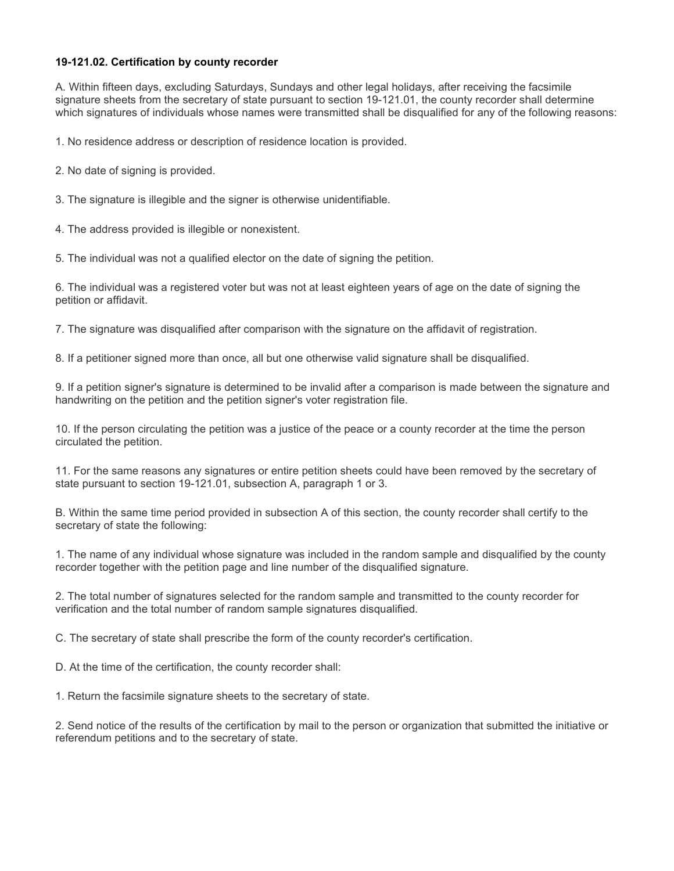### **19-121.02. Certification by county recorder**

A. Within fifteen days, excluding Saturdays, Sundays and other legal holidays, after receiving the facsimile signature sheets from the secretary of state pursuant to section 19-121.01, the county recorder shall determine which signatures of individuals whose names were transmitted shall be disqualified for any of the following reasons:

1. No residence address or description of residence location is provided.

2. No date of signing is provided.

3. The signature is illegible and the signer is otherwise unidentifiable.

4. The address provided is illegible or nonexistent.

5. The individual was not a qualified elector on the date of signing the petition.

6. The individual was a registered voter but was not at least eighteen years of age on the date of signing the petition or affidavit.

7. The signature was disqualified after comparison with the signature on the affidavit of registration.

8. If a petitioner signed more than once, all but one otherwise valid signature shall be disqualified.

9. If a petition signer's signature is determined to be invalid after a comparison is made between the signature and handwriting on the petition and the petition signer's voter registration file.

10. If the person circulating the petition was a justice of the peace or a county recorder at the time the person circulated the petition.

11. For the same reasons any signatures or entire petition sheets could have been removed by the secretary of state pursuant to section 19-121.01, subsection A, paragraph 1 or 3.

B. Within the same time period provided in subsection A of this section, the county recorder shall certify to the secretary of state the following:

1. The name of any individual whose signature was included in the random sample and disqualified by the county recorder together with the petition page and line number of the disqualified signature.

2. The total number of signatures selected for the random sample and transmitted to the county recorder for verification and the total number of random sample signatures disqualified.

C. The secretary of state shall prescribe the form of the county recorder's certification.

D. At the time of the certification, the county recorder shall:

1. Return the facsimile signature sheets to the secretary of state.

2. Send notice of the results of the certification by mail to the person or organization that submitted the initiative or referendum petitions and to the secretary of state.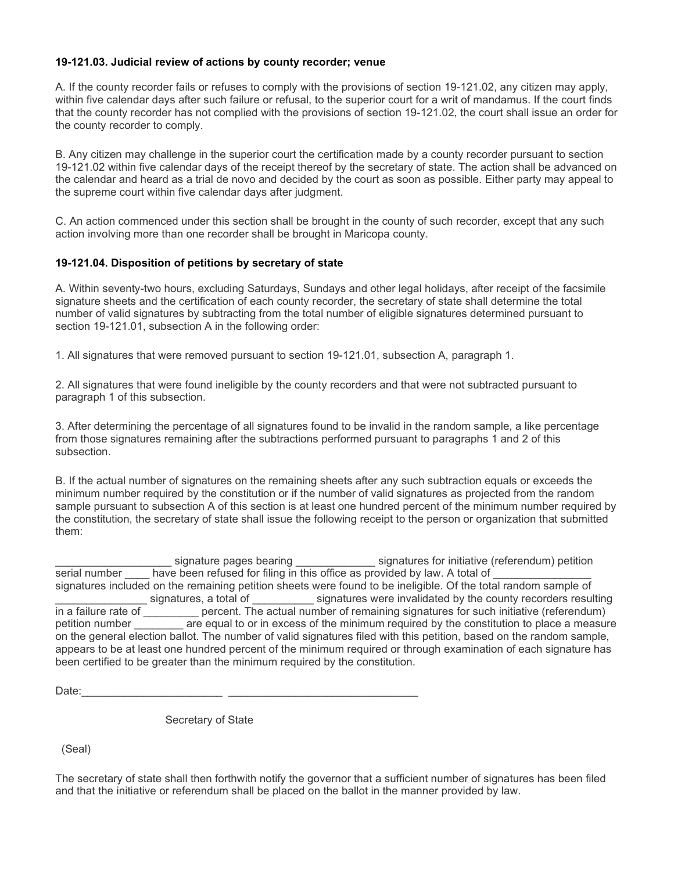## **19-121.03. Judicial review of actions by county recorder; venue**

A. If the county recorder fails or refuses to comply with the provisions of section 19-121.02, any citizen may apply, within five calendar days after such failure or refusal, to the superior court for a writ of mandamus. If the court finds that the county recorder has not complied with the provisions of section 19-121.02, the court shall issue an order for the county recorder to comply.

B. Any citizen may challenge in the superior court the certification made by a county recorder pursuant to section 19-121.02 within five calendar days of the receipt thereof by the secretary of state. The action shall be advanced on the calendar and heard as a trial de novo and decided by the court as soon as possible. Either party may appeal to the supreme court within five calendar days after judgment.

C. An action commenced under this section shall be brought in the county of such recorder, except that any such action involving more than one recorder shall be brought in Maricopa county.

### **19-121.04. Disposition of petitions by secretary of state**

A. Within seventy-two hours, excluding Saturdays, Sundays and other legal holidays, after receipt of the facsimile signature sheets and the certification of each county recorder, the secretary of state shall determine the total number of valid signatures by subtracting from the total number of eligible signatures determined pursuant to section 19-121.01, subsection A in the following order:

1. All signatures that were removed pursuant to section 19-121.01, subsection A, paragraph 1.

2. All signatures that were found ineligible by the county recorders and that were not subtracted pursuant to paragraph 1 of this subsection.

3. After determining the percentage of all signatures found to be invalid in the random sample, a like percentage from those signatures remaining after the subtractions performed pursuant to paragraphs 1 and 2 of this subsection.

B. If the actual number of signatures on the remaining sheets after any such subtraction equals or exceeds the minimum number required by the constitution or if the number of valid signatures as projected from the random sample pursuant to subsection A of this section is at least one hundred percent of the minimum number required by the constitution, the secretary of state shall issue the following receipt to the person or organization that submitted them:

signature pages bearing entity is signatures for initiative (referendum) petition serial number have been refused for filing in this office as provided by law. A total of signatures included on the remaining petition sheets were found to be ineligible. Of the total random sample of<br>signatures, a total of signatures were invalidated by the county recorders result \_signatures were invalidated by the county recorders resulting in a failure rate of \_\_\_\_\_\_\_\_\_ percent. The actual number of remaining signatures for such initiative (referendum) petition number are equal to or in excess of the minimum required by the constitution to place a measure on the general election ballot. The number of valid signatures filed with this petition, based on the random sample, appears to be at least one hundred percent of the minimum required or through examination of each signature has been certified to be greater than the minimum required by the constitution.

Date:\_\_\_\_\_\_\_\_\_\_\_\_\_\_\_\_\_\_\_\_\_\_\_ \_\_\_\_\_\_\_\_\_\_\_\_\_\_\_\_\_\_\_\_\_\_\_\_\_\_\_\_\_\_\_

Secretary of State

(Seal)

The secretary of state shall then forthwith notify the governor that a sufficient number of signatures has been filed and that the initiative or referendum shall be placed on the ballot in the manner provided by law.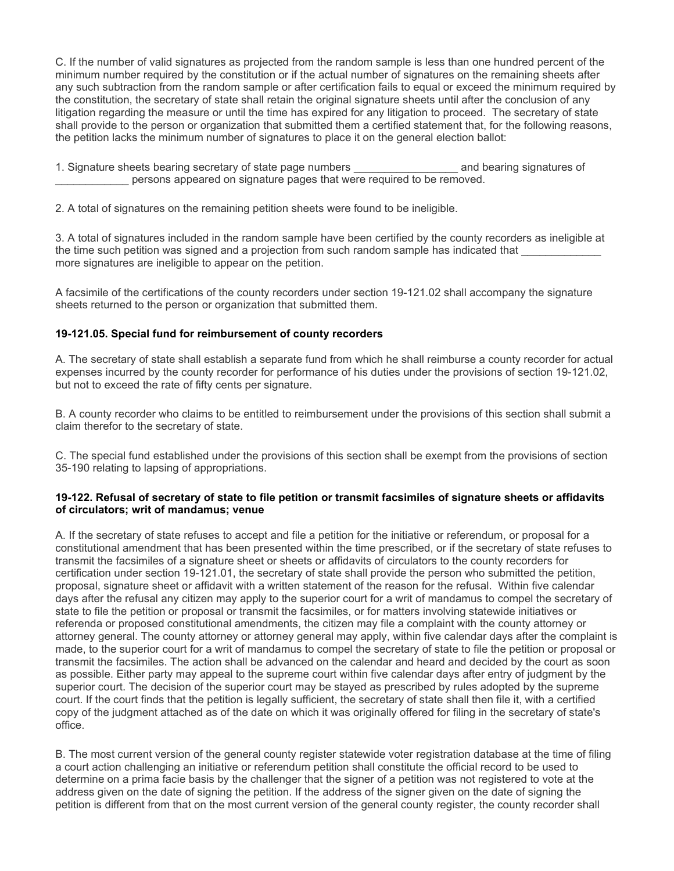C. If the number of valid signatures as projected from the random sample is less than one hundred percent of the minimum number required by the constitution or if the actual number of signatures on the remaining sheets after any such subtraction from the random sample or after certification fails to equal or exceed the minimum required by the constitution, the secretary of state shall retain the original signature sheets until after the conclusion of any litigation regarding the measure or until the time has expired for any litigation to proceed. The secretary of state shall provide to the person or organization that submitted them a certified statement that, for the following reasons, the petition lacks the minimum number of signatures to place it on the general election ballot:

| 1. Signature sheets bearing secretary of state page numbers           | and bearing signatures of |
|-----------------------------------------------------------------------|---------------------------|
| persons appeared on signature pages that were required to be removed. |                           |

2. A total of signatures on the remaining petition sheets were found to be ineligible.

3. A total of signatures included in the random sample have been certified by the county recorders as ineligible at the time such petition was signed and a projection from such random sample has indicated that more signatures are ineligible to appear on the petition.

A facsimile of the certifications of the county recorders under section 19-121.02 shall accompany the signature sheets returned to the person or organization that submitted them.

## **19-121.05. Special fund for reimbursement of county recorders**

A. The secretary of state shall establish a separate fund from which he shall reimburse a county recorder for actual expenses incurred by the county recorder for performance of his duties under the provisions of section 19-121.02, but not to exceed the rate of fifty cents per signature.

B. A county recorder who claims to be entitled to reimbursement under the provisions of this section shall submit a claim therefor to the secretary of state.

C. The special fund established under the provisions of this section shall be exempt from the provisions of section 35-190 relating to lapsing of appropriations.

### **19-122. Refusal of secretary of state to file petition or transmit facsimiles of signature sheets or affidavits of circulators; writ of mandamus; venue**

A. If the secretary of state refuses to accept and file a petition for the initiative or referendum, or proposal for a constitutional amendment that has been presented within the time prescribed, or if the secretary of state refuses to transmit the facsimiles of a signature sheet or sheets or affidavits of circulators to the county recorders for certification under section 19-121.01, the secretary of state shall provide the person who submitted the petition, proposal, signature sheet or affidavit with a written statement of the reason for the refusal. Within five calendar days after the refusal any citizen may apply to the superior court for a writ of mandamus to compel the secretary of state to file the petition or proposal or transmit the facsimiles, or for matters involving statewide initiatives or referenda or proposed constitutional amendments, the citizen may file a complaint with the county attorney or attorney general. The county attorney or attorney general may apply, within five calendar days after the complaint is made, to the superior court for a writ of mandamus to compel the secretary of state to file the petition or proposal or transmit the facsimiles. The action shall be advanced on the calendar and heard and decided by the court as soon as possible. Either party may appeal to the supreme court within five calendar days after entry of judgment by the superior court. The decision of the superior court may be stayed as prescribed by rules adopted by the supreme court. If the court finds that the petition is legally sufficient, the secretary of state shall then file it, with a certified copy of the judgment attached as of the date on which it was originally offered for filing in the secretary of state's office.

B. The most current version of the general county register statewide voter registration database at the time of filing a court action challenging an initiative or referendum petition shall constitute the official record to be used to determine on a prima facie basis by the challenger that the signer of a petition was not registered to vote at the address given on the date of signing the petition. If the address of the signer given on the date of signing the petition is different from that on the most current version of the general county register, the county recorder shall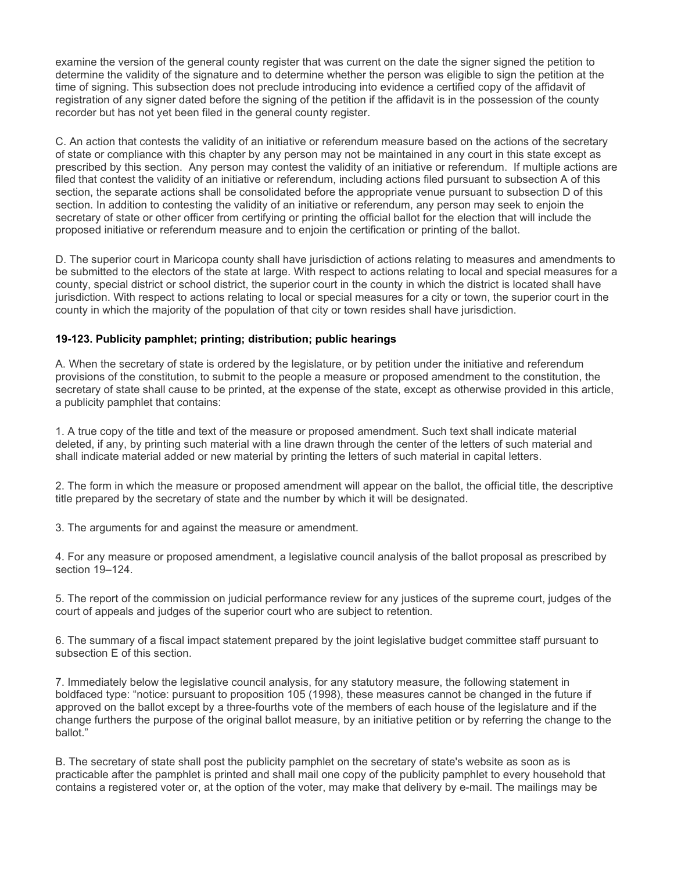examine the version of the general county register that was current on the date the signer signed the petition to determine the validity of the signature and to determine whether the person was eligible to sign the petition at the time of signing. This subsection does not preclude introducing into evidence a certified copy of the affidavit of registration of any signer dated before the signing of the petition if the affidavit is in the possession of the county recorder but has not yet been filed in the general county register.

C. An action that contests the validity of an initiative or referendum measure based on the actions of the secretary of state or compliance with this chapter by any person may not be maintained in any court in this state except as prescribed by this section. Any person may contest the validity of an initiative or referendum. If multiple actions are filed that contest the validity of an initiative or referendum, including actions filed pursuant to subsection A of this section, the separate actions shall be consolidated before the appropriate venue pursuant to subsection D of this section. In addition to contesting the validity of an initiative or referendum, any person may seek to enjoin the secretary of state or other officer from certifying or printing the official ballot for the election that will include the proposed initiative or referendum measure and to enjoin the certification or printing of the ballot.

D. The superior court in Maricopa county shall have jurisdiction of actions relating to measures and amendments to be submitted to the electors of the state at large. With respect to actions relating to local and special measures for a county, special district or school district, the superior court in the county in which the district is located shall have jurisdiction. With respect to actions relating to local or special measures for a city or town, the superior court in the county in which the majority of the population of that city or town resides shall have jurisdiction.

## **19-123. Publicity pamphlet; printing; distribution; public hearings**

A. When the secretary of state is ordered by the legislature, or by petition under the initiative and referendum provisions of the constitution, to submit to the people a measure or proposed amendment to the constitution, the secretary of state shall cause to be printed, at the expense of the state, except as otherwise provided in this article, a publicity pamphlet that contains:

1. A true copy of the title and text of the measure or proposed amendment. Such text shall indicate material deleted, if any, by printing such material with a line drawn through the center of the letters of such material and shall indicate material added or new material by printing the letters of such material in capital letters.

2. The form in which the measure or proposed amendment will appear on the ballot, the official title, the descriptive title prepared by the secretary of state and the number by which it will be designated.

3. The arguments for and against the measure or amendment.

4. For any measure or proposed amendment, a legislative council analysis of the ballot proposal as prescribed by section 19–124.

5. The report of the commission on judicial performance review for any justices of the supreme court, judges of the court of appeals and judges of the superior court who are subject to retention.

6. The summary of a fiscal impact statement prepared by the joint legislative budget committee staff pursuant to subsection E of this section.

7. Immediately below the legislative council analysis, for any statutory measure, the following statement in boldfaced type: "notice: pursuant to proposition 105 (1998), these measures cannot be changed in the future if approved on the ballot except by a three-fourths vote of the members of each house of the legislature and if the change furthers the purpose of the original ballot measure, by an initiative petition or by referring the change to the ballot."

B. The secretary of state shall post the publicity pamphlet on the secretary of state's website as soon as is practicable after the pamphlet is printed and shall mail one copy of the publicity pamphlet to every household that contains a registered voter or, at the option of the voter, may make that delivery by e-mail. The mailings may be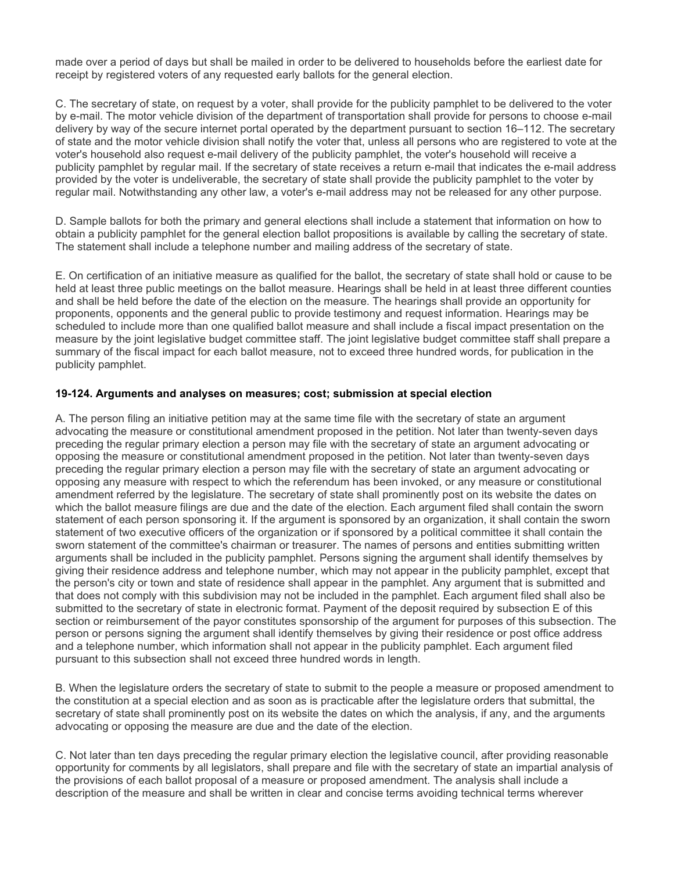made over a period of days but shall be mailed in order to be delivered to households before the earliest date for receipt by registered voters of any requested early ballots for the general election.

C. The secretary of state, on request by a voter, shall provide for the publicity pamphlet to be delivered to the voter by e-mail. The motor vehicle division of the department of transportation shall provide for persons to choose e-mail delivery by way of the secure internet portal operated by the department pursuant to section 16–112. The secretary of state and the motor vehicle division shall notify the voter that, unless all persons who are registered to vote at the voter's household also request e-mail delivery of the publicity pamphlet, the voter's household will receive a publicity pamphlet by regular mail. If the secretary of state receives a return e-mail that indicates the e-mail address provided by the voter is undeliverable, the secretary of state shall provide the publicity pamphlet to the voter by regular mail. Notwithstanding any other law, a voter's e-mail address may not be released for any other purpose.

D. Sample ballots for both the primary and general elections shall include a statement that information on how to obtain a publicity pamphlet for the general election ballot propositions is available by calling the secretary of state. The statement shall include a telephone number and mailing address of the secretary of state.

E. On certification of an initiative measure as qualified for the ballot, the secretary of state shall hold or cause to be held at least three public meetings on the ballot measure. Hearings shall be held in at least three different counties and shall be held before the date of the election on the measure. The hearings shall provide an opportunity for proponents, opponents and the general public to provide testimony and request information. Hearings may be scheduled to include more than one qualified ballot measure and shall include a fiscal impact presentation on the measure by the joint legislative budget committee staff. The joint legislative budget committee staff shall prepare a summary of the fiscal impact for each ballot measure, not to exceed three hundred words, for publication in the publicity pamphlet.

### **19-124. Arguments and analyses on measures; cost; submission at special election**

A. The person filing an initiative petition may at the same time file with the secretary of state an argument advocating the measure or constitutional amendment proposed in the petition. Not later than twenty-seven days preceding the regular primary election a person may file with the secretary of state an argument advocating or opposing the measure or constitutional amendment proposed in the petition. Not later than twenty-seven days preceding the regular primary election a person may file with the secretary of state an argument advocating or opposing any measure with respect to which the referendum has been invoked, or any measure or constitutional amendment referred by the legislature. The secretary of state shall prominently post on its website the dates on which the ballot measure filings are due and the date of the election. Each argument filed shall contain the sworn statement of each person sponsoring it. If the argument is sponsored by an organization, it shall contain the sworn statement of two executive officers of the organization or if sponsored by a political committee it shall contain the sworn statement of the committee's chairman or treasurer. The names of persons and entities submitting written arguments shall be included in the publicity pamphlet. Persons signing the argument shall identify themselves by giving their residence address and telephone number, which may not appear in the publicity pamphlet, except that the person's city or town and state of residence shall appear in the pamphlet. Any argument that is submitted and that does not comply with this subdivision may not be included in the pamphlet. Each argument filed shall also be submitted to the secretary of state in electronic format. Payment of the deposit required by subsection E of this section or reimbursement of the payor constitutes sponsorship of the argument for purposes of this subsection. The person or persons signing the argument shall identify themselves by giving their residence or post office address and a telephone number, which information shall not appear in the publicity pamphlet. Each argument filed pursuant to this subsection shall not exceed three hundred words in length.

B. When the legislature orders the secretary of state to submit to the people a measure or proposed amendment to the constitution at a special election and as soon as is practicable after the legislature orders that submittal, the secretary of state shall prominently post on its website the dates on which the analysis, if any, and the arguments advocating or opposing the measure are due and the date of the election.

C. Not later than ten days preceding the regular primary election the legislative council, after providing reasonable opportunity for comments by all legislators, shall prepare and file with the secretary of state an impartial analysis of the provisions of each ballot proposal of a measure or proposed amendment. The analysis shall include a description of the measure and shall be written in clear and concise terms avoiding technical terms wherever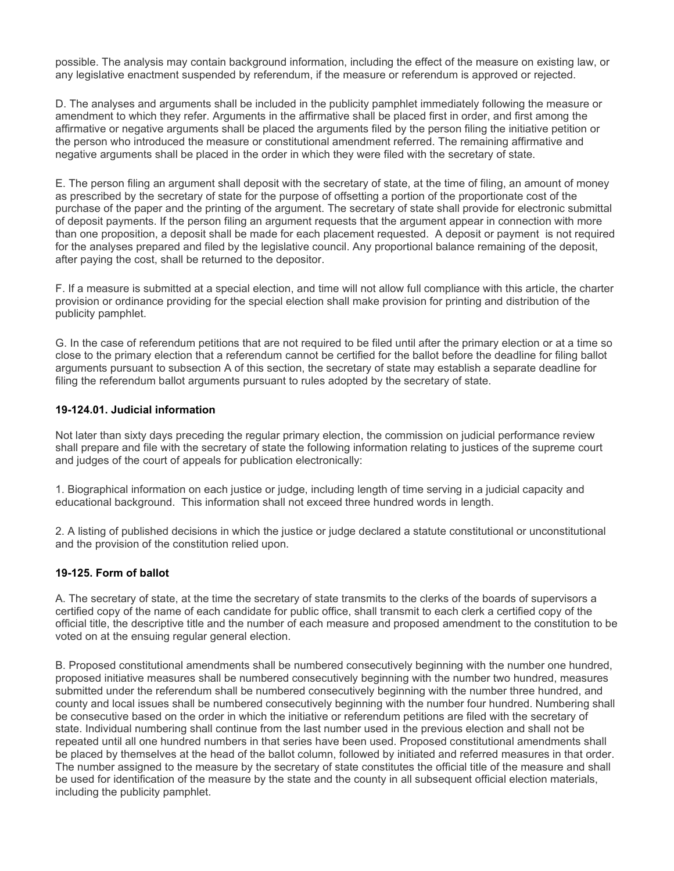possible. The analysis may contain background information, including the effect of the measure on existing law, or any legislative enactment suspended by referendum, if the measure or referendum is approved or rejected.

D. The analyses and arguments shall be included in the publicity pamphlet immediately following the measure or amendment to which they refer. Arguments in the affirmative shall be placed first in order, and first among the affirmative or negative arguments shall be placed the arguments filed by the person filing the initiative petition or the person who introduced the measure or constitutional amendment referred. The remaining affirmative and negative arguments shall be placed in the order in which they were filed with the secretary of state.

E. The person filing an argument shall deposit with the secretary of state, at the time of filing, an amount of money as prescribed by the secretary of state for the purpose of offsetting a portion of the proportionate cost of the purchase of the paper and the printing of the argument. The secretary of state shall provide for electronic submittal of deposit payments. If the person filing an argument requests that the argument appear in connection with more than one proposition, a deposit shall be made for each placement requested. A deposit or payment is not required for the analyses prepared and filed by the legislative council. Any proportional balance remaining of the deposit, after paying the cost, shall be returned to the depositor.

F. If a measure is submitted at a special election, and time will not allow full compliance with this article, the charter provision or ordinance providing for the special election shall make provision for printing and distribution of the publicity pamphlet.

G. In the case of referendum petitions that are not required to be filed until after the primary election or at a time so close to the primary election that a referendum cannot be certified for the ballot before the deadline for filing ballot arguments pursuant to subsection A of this section, the secretary of state may establish a separate deadline for filing the referendum ballot arguments pursuant to rules adopted by the secretary of state.

### **19-124.01. Judicial information**

Not later than sixty days preceding the regular primary election, the commission on judicial performance review shall prepare and file with the secretary of state the following information relating to justices of the supreme court and judges of the court of appeals for publication electronically:

1. Biographical information on each justice or judge, including length of time serving in a judicial capacity and educational background. This information shall not exceed three hundred words in length.

2. A listing of published decisions in which the justice or judge declared a statute constitutional or unconstitutional and the provision of the constitution relied upon.

### **19-125. Form of ballot**

A. The secretary of state, at the time the secretary of state transmits to the clerks of the boards of supervisors a certified copy of the name of each candidate for public office, shall transmit to each clerk a certified copy of the official title, the descriptive title and the number of each measure and proposed amendment to the constitution to be voted on at the ensuing regular general election.

B. Proposed constitutional amendments shall be numbered consecutively beginning with the number one hundred, proposed initiative measures shall be numbered consecutively beginning with the number two hundred, measures submitted under the referendum shall be numbered consecutively beginning with the number three hundred, and county and local issues shall be numbered consecutively beginning with the number four hundred. Numbering shall be consecutive based on the order in which the initiative or referendum petitions are filed with the secretary of state. Individual numbering shall continue from the last number used in the previous election and shall not be repeated until all one hundred numbers in that series have been used. Proposed constitutional amendments shall be placed by themselves at the head of the ballot column, followed by initiated and referred measures in that order. The number assigned to the measure by the secretary of state constitutes the official title of the measure and shall be used for identification of the measure by the state and the county in all subsequent official election materials, including the publicity pamphlet.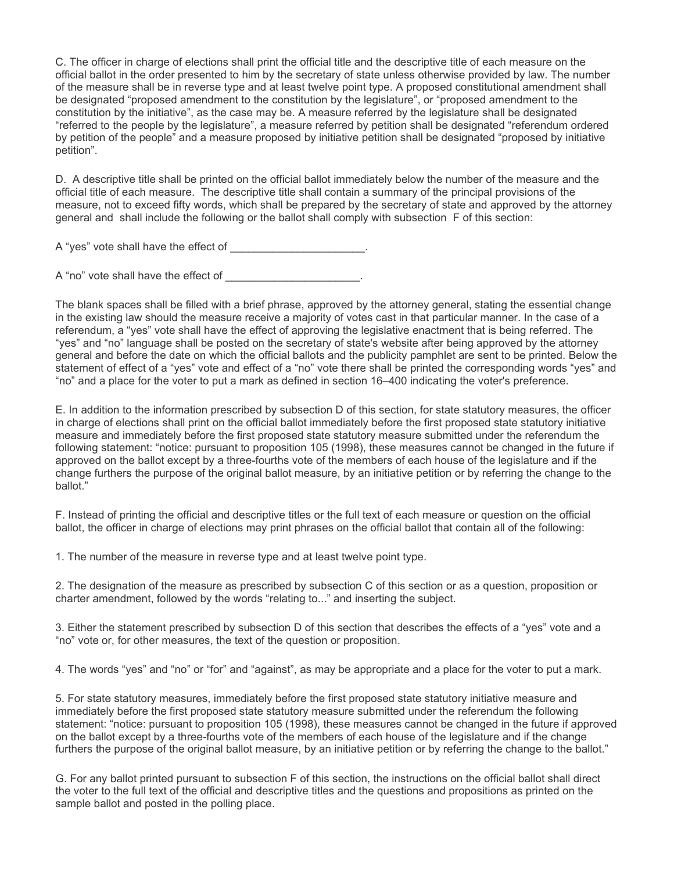C. The officer in charge of elections shall print the official title and the descriptive title of each measure on the official ballot in the order presented to him by the secretary of state unless otherwise provided by law. The number of the measure shall be in reverse type and at least twelve point type. A proposed constitutional amendment shall be designated "proposed amendment to the constitution by the legislature", or "proposed amendment to the constitution by the initiative", as the case may be. A measure referred by the legislature shall be designated "referred to the people by the legislature", a measure referred by petition shall be designated "referendum ordered by petition of the people" and a measure proposed by initiative petition shall be designated "proposed by initiative petition".

D. A descriptive title shall be printed on the official ballot immediately below the number of the measure and the official title of each measure. The descriptive title shall contain a summary of the principal provisions of the measure, not to exceed fifty words, which shall be prepared by the secretary of state and approved by the attorney general and shall include the following or the ballot shall comply with subsection F of this section:

A "yes" vote shall have the effect of \_\_\_\_\_\_\_\_\_\_\_\_\_\_\_\_\_\_\_\_\_\_\_.

A "no" vote shall have the effect of  $\blacksquare$ 

The blank spaces shall be filled with a brief phrase, approved by the attorney general, stating the essential change in the existing law should the measure receive a majority of votes cast in that particular manner. In the case of a referendum, a "yes" vote shall have the effect of approving the legislative enactment that is being referred. The "yes" and "no" language shall be posted on the secretary of state's website after being approved by the attorney general and before the date on which the official ballots and the publicity pamphlet are sent to be printed. Below the statement of effect of a "yes" vote and effect of a "no" vote there shall be printed the corresponding words "yes" and "no" and a place for the voter to put a mark as defined in section 16–400 indicating the voter's preference.

E. In addition to the information prescribed by subsection D of this section, for state statutory measures, the officer in charge of elections shall print on the official ballot immediately before the first proposed state statutory initiative measure and immediately before the first proposed state statutory measure submitted under the referendum the following statement: "notice: pursuant to proposition 105 (1998), these measures cannot be changed in the future if approved on the ballot except by a three-fourths vote of the members of each house of the legislature and if the change furthers the purpose of the original ballot measure, by an initiative petition or by referring the change to the ballot."

F. Instead of printing the official and descriptive titles or the full text of each measure or question on the official ballot, the officer in charge of elections may print phrases on the official ballot that contain all of the following:

1. The number of the measure in reverse type and at least twelve point type.

2. The designation of the measure as prescribed by subsection C of this section or as a question, proposition or charter amendment, followed by the words "relating to..." and inserting the subject.

3. Either the statement prescribed by subsection D of this section that describes the effects of a "yes" vote and a "no" vote or, for other measures, the text of the question or proposition.

4. The words "yes" and "no" or "for" and "against", as may be appropriate and a place for the voter to put a mark.

5. For state statutory measures, immediately before the first proposed state statutory initiative measure and immediately before the first proposed state statutory measure submitted under the referendum the following statement: "notice: pursuant to proposition 105 (1998), these measures cannot be changed in the future if approved on the ballot except by a three-fourths vote of the members of each house of the legislature and if the change furthers the purpose of the original ballot measure, by an initiative petition or by referring the change to the ballot."

G. For any ballot printed pursuant to subsection F of this section, the instructions on the official ballot shall direct the voter to the full text of the official and descriptive titles and the questions and propositions as printed on the sample ballot and posted in the polling place.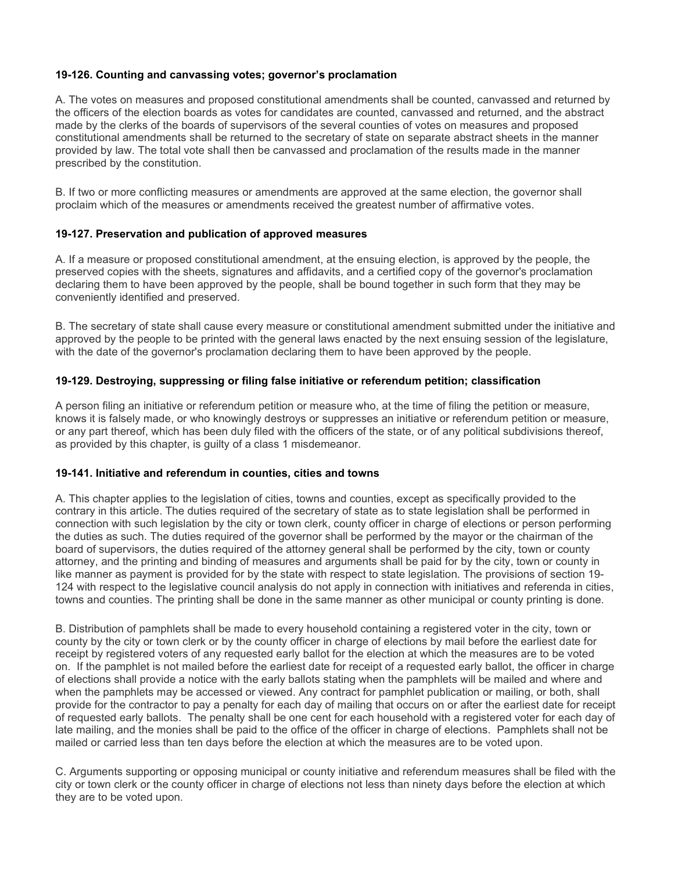### **19-126. Counting and canvassing votes; governor's proclamation**

A. The votes on measures and proposed constitutional amendments shall be counted, canvassed and returned by the officers of the election boards as votes for candidates are counted, canvassed and returned, and the abstract made by the clerks of the boards of supervisors of the several counties of votes on measures and proposed constitutional amendments shall be returned to the secretary of state on separate abstract sheets in the manner provided by law. The total vote shall then be canvassed and proclamation of the results made in the manner prescribed by the constitution.

B. If two or more conflicting measures or amendments are approved at the same election, the governor shall proclaim which of the measures or amendments received the greatest number of affirmative votes.

### **19-127. Preservation and publication of approved measures**

A. If a measure or proposed constitutional amendment, at the ensuing election, is approved by the people, the preserved copies with the sheets, signatures and affidavits, and a certified copy of the governor's proclamation declaring them to have been approved by the people, shall be bound together in such form that they may be conveniently identified and preserved.

B. The secretary of state shall cause every measure or constitutional amendment submitted under the initiative and approved by the people to be printed with the general laws enacted by the next ensuing session of the legislature, with the date of the governor's proclamation declaring them to have been approved by the people.

### **19-129. Destroying, suppressing or filing false initiative or referendum petition; classification**

A person filing an initiative or referendum petition or measure who, at the time of filing the petition or measure, knows it is falsely made, or who knowingly destroys or suppresses an initiative or referendum petition or measure, or any part thereof, which has been duly filed with the officers of the state, or of any political subdivisions thereof, as provided by this chapter, is guilty of a class 1 misdemeanor.

### **19-141. Initiative and referendum in counties, cities and towns**

A. This chapter applies to the legislation of cities, towns and counties, except as specifically provided to the contrary in this article. The duties required of the secretary of state as to state legislation shall be performed in connection with such legislation by the city or town clerk, county officer in charge of elections or person performing the duties as such. The duties required of the governor shall be performed by the mayor or the chairman of the board of supervisors, the duties required of the attorney general shall be performed by the city, town or county attorney, and the printing and binding of measures and arguments shall be paid for by the city, town or county in like manner as payment is provided for by the state with respect to state legislation. The provisions of section 19- 124 with respect to the legislative council analysis do not apply in connection with initiatives and referenda in cities, towns and counties. The printing shall be done in the same manner as other municipal or county printing is done.

B. Distribution of pamphlets shall be made to every household containing a registered voter in the city, town or county by the city or town clerk or by the county officer in charge of elections by mail before the earliest date for receipt by registered voters of any requested early ballot for the election at which the measures are to be voted on. If the pamphlet is not mailed before the earliest date for receipt of a requested early ballot, the officer in charge of elections shall provide a notice with the early ballots stating when the pamphlets will be mailed and where and when the pamphlets may be accessed or viewed. Any contract for pamphlet publication or mailing, or both, shall provide for the contractor to pay a penalty for each day of mailing that occurs on or after the earliest date for receipt of requested early ballots. The penalty shall be one cent for each household with a registered voter for each day of late mailing, and the monies shall be paid to the office of the officer in charge of elections. Pamphlets shall not be mailed or carried less than ten days before the election at which the measures are to be voted upon.

C. Arguments supporting or opposing municipal or county initiative and referendum measures shall be filed with the city or town clerk or the county officer in charge of elections not less than ninety days before the election at which they are to be voted upon.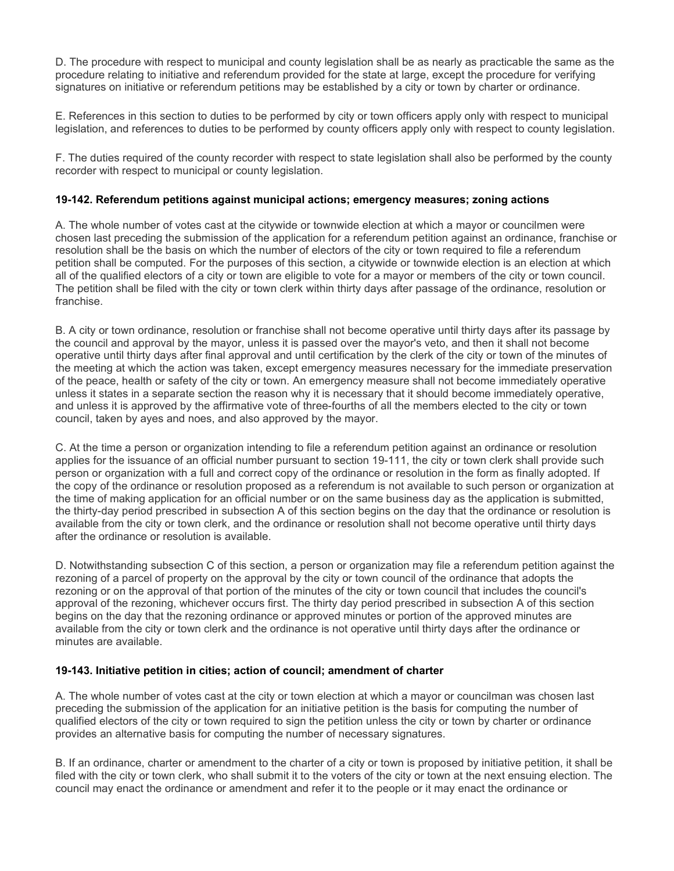D. The procedure with respect to municipal and county legislation shall be as nearly as practicable the same as the procedure relating to initiative and referendum provided for the state at large, except the procedure for verifying signatures on initiative or referendum petitions may be established by a city or town by charter or ordinance.

E. References in this section to duties to be performed by city or town officers apply only with respect to municipal legislation, and references to duties to be performed by county officers apply only with respect to county legislation.

F. The duties required of the county recorder with respect to state legislation shall also be performed by the county recorder with respect to municipal or county legislation.

### **19-142. Referendum petitions against municipal actions; emergency measures; zoning actions**

A. The whole number of votes cast at the citywide or townwide election at which a mayor or councilmen were chosen last preceding the submission of the application for a referendum petition against an ordinance, franchise or resolution shall be the basis on which the number of electors of the city or town required to file a referendum petition shall be computed. For the purposes of this section, a citywide or townwide election is an election at which all of the qualified electors of a city or town are eligible to vote for a mayor or members of the city or town council. The petition shall be filed with the city or town clerk within thirty days after passage of the ordinance, resolution or franchise.

B. A city or town ordinance, resolution or franchise shall not become operative until thirty days after its passage by the council and approval by the mayor, unless it is passed over the mayor's veto, and then it shall not become operative until thirty days after final approval and until certification by the clerk of the city or town of the minutes of the meeting at which the action was taken, except emergency measures necessary for the immediate preservation of the peace, health or safety of the city or town. An emergency measure shall not become immediately operative unless it states in a separate section the reason why it is necessary that it should become immediately operative, and unless it is approved by the affirmative vote of three-fourths of all the members elected to the city or town council, taken by ayes and noes, and also approved by the mayor.

C. At the time a person or organization intending to file a referendum petition against an ordinance or resolution applies for the issuance of an official number pursuant to section 19-111, the city or town clerk shall provide such person or organization with a full and correct copy of the ordinance or resolution in the form as finally adopted. If the copy of the ordinance or resolution proposed as a referendum is not available to such person or organization at the time of making application for an official number or on the same business day as the application is submitted, the thirty-day period prescribed in subsection A of this section begins on the day that the ordinance or resolution is available from the city or town clerk, and the ordinance or resolution shall not become operative until thirty days after the ordinance or resolution is available.

D. Notwithstanding subsection C of this section, a person or organization may file a referendum petition against the rezoning of a parcel of property on the approval by the city or town council of the ordinance that adopts the rezoning or on the approval of that portion of the minutes of the city or town council that includes the council's approval of the rezoning, whichever occurs first. The thirty day period prescribed in subsection A of this section begins on the day that the rezoning ordinance or approved minutes or portion of the approved minutes are available from the city or town clerk and the ordinance is not operative until thirty days after the ordinance or minutes are available.

### **19-143. Initiative petition in cities; action of council; amendment of charter**

A. The whole number of votes cast at the city or town election at which a mayor or councilman was chosen last preceding the submission of the application for an initiative petition is the basis for computing the number of qualified electors of the city or town required to sign the petition unless the city or town by charter or ordinance provides an alternative basis for computing the number of necessary signatures.

B. If an ordinance, charter or amendment to the charter of a city or town is proposed by initiative petition, it shall be filed with the city or town clerk, who shall submit it to the voters of the city or town at the next ensuing election. The council may enact the ordinance or amendment and refer it to the people or it may enact the ordinance or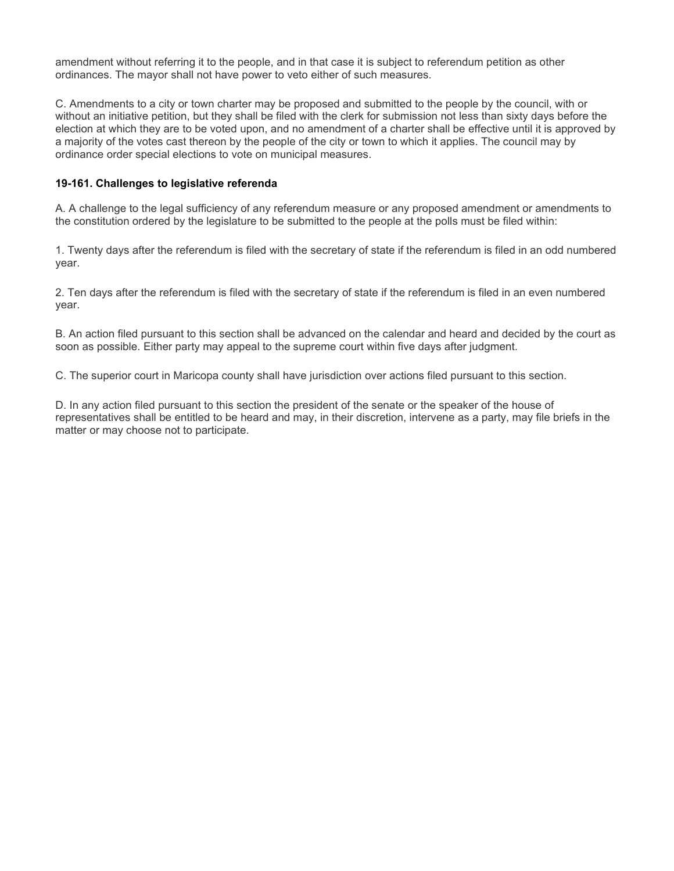amendment without referring it to the people, and in that case it is subject to referendum petition as other ordinances. The mayor shall not have power to veto either of such measures.

C. Amendments to a city or town charter may be proposed and submitted to the people by the council, with or without an initiative petition, but they shall be filed with the clerk for submission not less than sixty days before the election at which they are to be voted upon, and no amendment of a charter shall be effective until it is approved by a majority of the votes cast thereon by the people of the city or town to which it applies. The council may by ordinance order special elections to vote on municipal measures.

### **19-161. Challenges to legislative referenda**

A. A challenge to the legal sufficiency of any referendum measure or any proposed amendment or amendments to the constitution ordered by the legislature to be submitted to the people at the polls must be filed within:

1. Twenty days after the referendum is filed with the secretary of state if the referendum is filed in an odd numbered year.

2. Ten days after the referendum is filed with the secretary of state if the referendum is filed in an even numbered year.

B. An action filed pursuant to this section shall be advanced on the calendar and heard and decided by the court as soon as possible. Either party may appeal to the supreme court within five days after judgment.

C. The superior court in Maricopa county shall have jurisdiction over actions filed pursuant to this section.

D. In any action filed pursuant to this section the president of the senate or the speaker of the house of representatives shall be entitled to be heard and may, in their discretion, intervene as a party, may file briefs in the matter or may choose not to participate.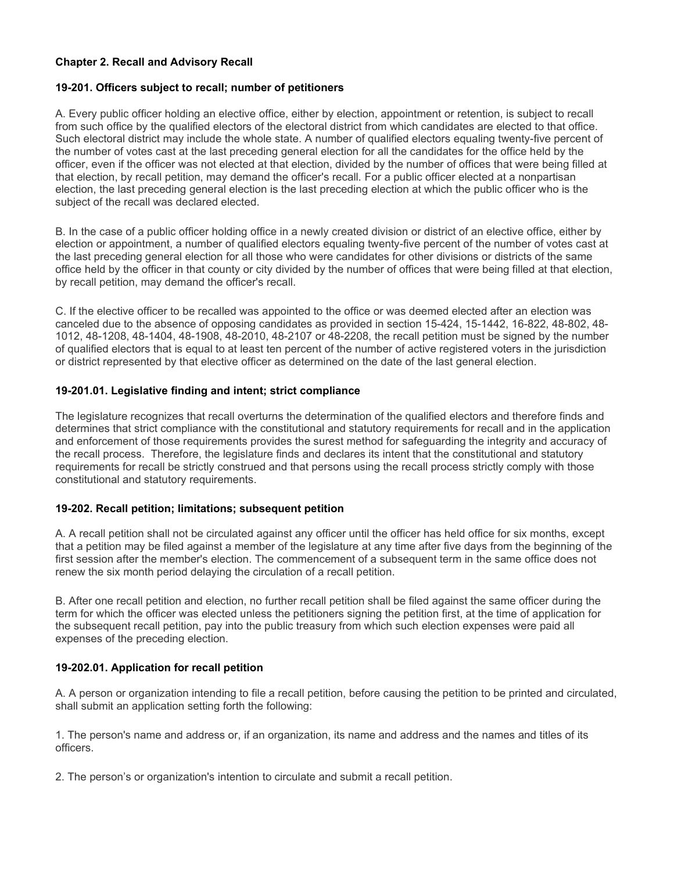### **Chapter 2. Recall and Advisory Recall**

### **19-201. Officers subject to recall; number of petitioners**

A. Every public officer holding an elective office, either by election, appointment or retention, is subject to recall from such office by the qualified electors of the electoral district from which candidates are elected to that office. Such electoral district may include the whole state. A number of qualified electors equaling twenty-five percent of the number of votes cast at the last preceding general election for all the candidates for the office held by the officer, even if the officer was not elected at that election, divided by the number of offices that were being filled at that election, by recall petition, may demand the officer's recall. For a public officer elected at a nonpartisan election, the last preceding general election is the last preceding election at which the public officer who is the subject of the recall was declared elected.

B. In the case of a public officer holding office in a newly created division or district of an elective office, either by election or appointment, a number of qualified electors equaling twenty-five percent of the number of votes cast at the last preceding general election for all those who were candidates for other divisions or districts of the same office held by the officer in that county or city divided by the number of offices that were being filled at that election, by recall petition, may demand the officer's recall.

C. If the elective officer to be recalled was appointed to the office or was deemed elected after an election was canceled due to the absence of opposing candidates as provided in section 15-424, 15-1442, 16-822, 48-802, 48- 1012, 48-1208, 48-1404, 48-1908, 48-2010, 48-2107 or 48-2208, the recall petition must be signed by the number of qualified electors that is equal to at least ten percent of the number of active registered voters in the jurisdiction or district represented by that elective officer as determined on the date of the last general election.

### **19-201.01. Legislative finding and intent; strict compliance**

The legislature recognizes that recall overturns the determination of the qualified electors and therefore finds and determines that strict compliance with the constitutional and statutory requirements for recall and in the application and enforcement of those requirements provides the surest method for safeguarding the integrity and accuracy of the recall process. Therefore, the legislature finds and declares its intent that the constitutional and statutory requirements for recall be strictly construed and that persons using the recall process strictly comply with those constitutional and statutory requirements.

### **19-202. Recall petition; limitations; subsequent petition**

A. A recall petition shall not be circulated against any officer until the officer has held office for six months, except that a petition may be filed against a member of the legislature at any time after five days from the beginning of the first session after the member's election. The commencement of a subsequent term in the same office does not renew the six month period delaying the circulation of a recall petition.

B. After one recall petition and election, no further recall petition shall be filed against the same officer during the term for which the officer was elected unless the petitioners signing the petition first, at the time of application for the subsequent recall petition, pay into the public treasury from which such election expenses were paid all expenses of the preceding election.

## **19-202.01. Application for recall petition**

A. A person or organization intending to file a recall petition, before causing the petition to be printed and circulated, shall submit an application setting forth the following:

1. The person's name and address or, if an organization, its name and address and the names and titles of its officers.

2. The person's or organization's intention to circulate and submit a recall petition.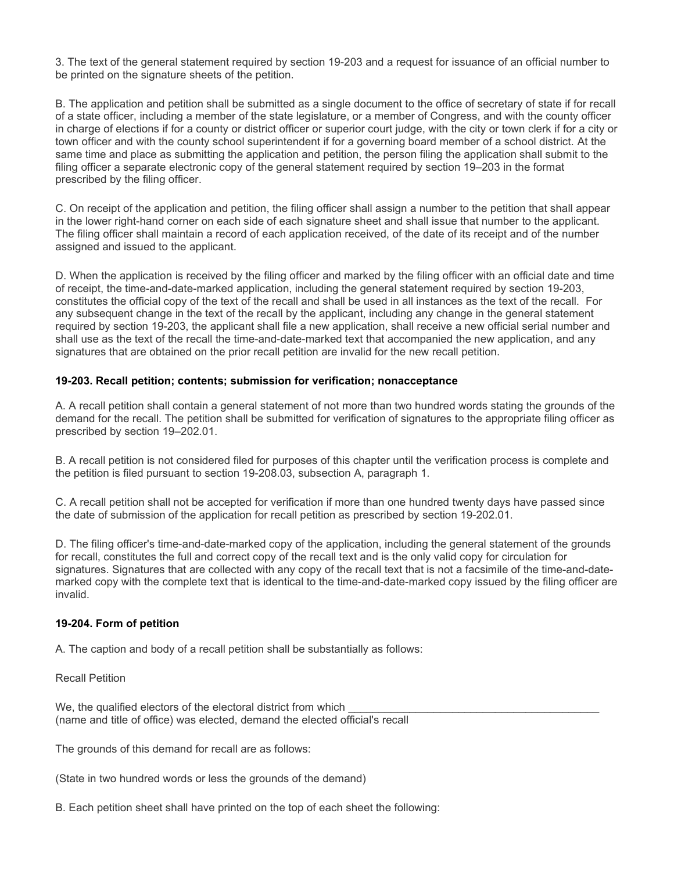3. The text of the general statement required by section 19-203 and a request for issuance of an official number to be printed on the signature sheets of the petition.

B. The application and petition shall be submitted as a single document to the office of secretary of state if for recall of a state officer, including a member of the state legislature, or a member of Congress, and with the county officer in charge of elections if for a county or district officer or superior court judge, with the city or town clerk if for a city or town officer and with the county school superintendent if for a governing board member of a school district. At the same time and place as submitting the application and petition, the person filing the application shall submit to the filing officer a separate electronic copy of the general statement required by section 19–203 in the format prescribed by the filing officer.

C. On receipt of the application and petition, the filing officer shall assign a number to the petition that shall appear in the lower right-hand corner on each side of each signature sheet and shall issue that number to the applicant. The filing officer shall maintain a record of each application received, of the date of its receipt and of the number assigned and issued to the applicant.

D. When the application is received by the filing officer and marked by the filing officer with an official date and time of receipt, the time-and-date-marked application, including the general statement required by section 19-203, constitutes the official copy of the text of the recall and shall be used in all instances as the text of the recall. For any subsequent change in the text of the recall by the applicant, including any change in the general statement required by section 19-203, the applicant shall file a new application, shall receive a new official serial number and shall use as the text of the recall the time-and-date-marked text that accompanied the new application, and any signatures that are obtained on the prior recall petition are invalid for the new recall petition.

### **19-203. Recall petition; contents; submission for verification; nonacceptance**

A. A recall petition shall contain a general statement of not more than two hundred words stating the grounds of the demand for the recall. The petition shall be submitted for verification of signatures to the appropriate filing officer as prescribed by section 19–202.01.

B. A recall petition is not considered filed for purposes of this chapter until the verification process is complete and the petition is filed pursuant to section 19-208.03, subsection A, paragraph 1.

C. A recall petition shall not be accepted for verification if more than one hundred twenty days have passed since the date of submission of the application for recall petition as prescribed by section 19-202.01.

D. The filing officer's time-and-date-marked copy of the application, including the general statement of the grounds for recall, constitutes the full and correct copy of the recall text and is the only valid copy for circulation for signatures. Signatures that are collected with any copy of the recall text that is not a facsimile of the time-and-datemarked copy with the complete text that is identical to the time-and-date-marked copy issued by the filing officer are invalid.

## **19-204. Form of petition**

A. The caption and body of a recall petition shall be substantially as follows:

Recall Petition

We, the qualified electors of the electoral district from which (name and title of office) was elected, demand the elected official's recall

The grounds of this demand for recall are as follows:

(State in two hundred words or less the grounds of the demand)

B. Each petition sheet shall have printed on the top of each sheet the following: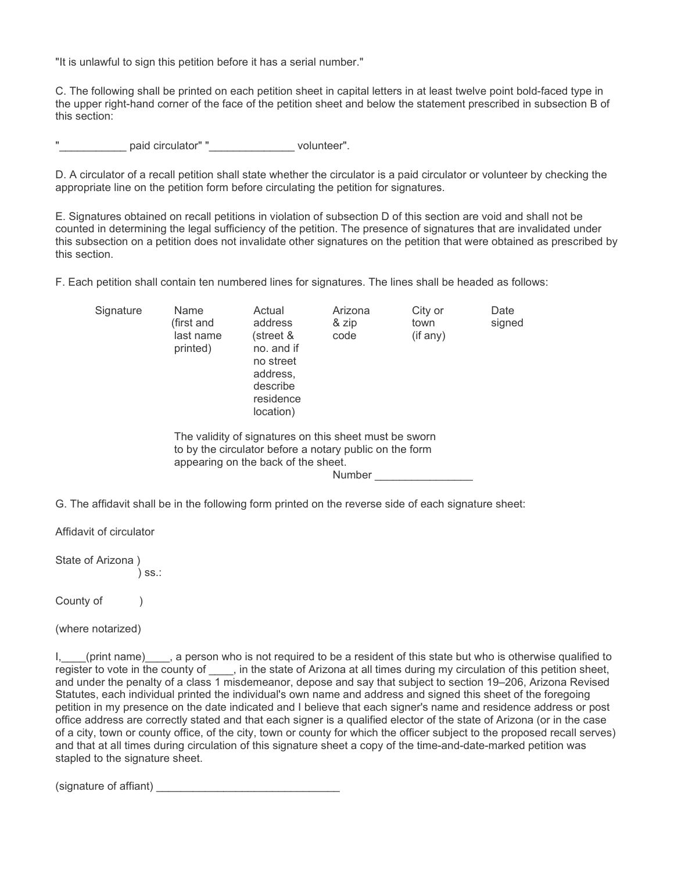"It is unlawful to sign this petition before it has a serial number."

C. The following shall be printed on each petition sheet in capital letters in at least twelve point bold-faced type in the upper right-hand corner of the face of the petition sheet and below the statement prescribed in subsection B of this section:

paid circulator" " [20] volunteer".

D. A circulator of a recall petition shall state whether the circulator is a paid circulator or volunteer by checking the appropriate line on the petition form before circulating the petition for signatures.

E. Signatures obtained on recall petitions in violation of subsection D of this section are void and shall not be counted in determining the legal sufficiency of the petition. The presence of signatures that are invalidated under this subsection on a petition does not invalidate other signatures on the petition that were obtained as prescribed by this section.

F. Each petition shall contain ten numbered lines for signatures. The lines shall be headed as follows:

| Signature | Name<br>(first and<br>last name<br>printed)                                                                                                                        | Actual<br>address<br>(street &<br>no, and if<br>no street<br>address,<br>describe<br>residence<br>location) | Arizona<br>& zip<br>code | City or<br>town<br>(i f any) | Date<br>signed |  |  |
|-----------|--------------------------------------------------------------------------------------------------------------------------------------------------------------------|-------------------------------------------------------------------------------------------------------------|--------------------------|------------------------------|----------------|--|--|
|           | The validity of signatures on this sheet must be sworn<br>to by the circulator before a notary public on the form<br>appearing on the back of the sheet.<br>Number |                                                                                                             |                          |                              |                |  |  |

G. The affidavit shall be in the following form printed on the reverse side of each signature sheet:

Affidavit of circulator

State of Arizona )  $)$  ss.:

County of (b)

(where notarized)

I, (print name) a person who is not required to be a resident of this state but who is otherwise qualified to register to vote in the county of \_\_\_\_, in the state of Arizona at all times during my circulation of this petition sheet, and under the penalty of a class 1 misdemeanor, depose and say that subject to section 19–206, Arizona Revised Statutes, each individual printed the individual's own name and address and signed this sheet of the foregoing petition in my presence on the date indicated and I believe that each signer's name and residence address or post office address are correctly stated and that each signer is a qualified elector of the state of Arizona (or in the case of a city, town or county office, of the city, town or county for which the officer subject to the proposed recall serves) and that at all times during circulation of this signature sheet a copy of the time-and-date-marked petition was stapled to the signature sheet.

(signature of affiant)  $\overline{\phantom{a}}$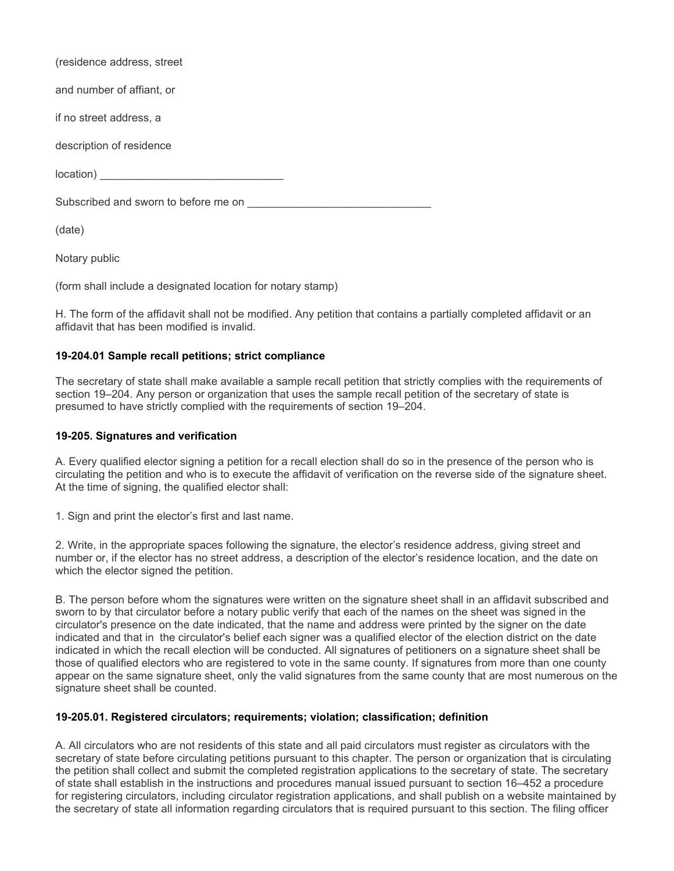| (residence address, street           |  |
|--------------------------------------|--|
| and number of affiant, or            |  |
| if no street address, a              |  |
| description of residence             |  |
|                                      |  |
| Subscribed and sworn to before me on |  |
| (date)                               |  |
| Notary public                        |  |

(form shall include a designated location for notary stamp)

H. The form of the affidavit shall not be modified. Any petition that contains a partially completed affidavit or an affidavit that has been modified is invalid.

### **19-204.01 Sample recall petitions; strict compliance**

The secretary of state shall make available a sample recall petition that strictly complies with the requirements of section 19–204. Any person or organization that uses the sample recall petition of the secretary of state is presumed to have strictly complied with the requirements of section 19–204.

### **19-205. Signatures and verification**

A. Every qualified elector signing a petition for a recall election shall do so in the presence of the person who is circulating the petition and who is to execute the affidavit of verification on the reverse side of the signature sheet. At the time of signing, the qualified elector shall:

1. Sign and print the elector's first and last name.

2. Write, in the appropriate spaces following the signature, the elector's residence address, giving street and number or, if the elector has no street address, a description of the elector's residence location, and the date on which the elector signed the petition.

B. The person before whom the signatures were written on the signature sheet shall in an affidavit subscribed and sworn to by that circulator before a notary public verify that each of the names on the sheet was signed in the circulator's presence on the date indicated, that the name and address were printed by the signer on the date indicated and that in the circulator's belief each signer was a qualified elector of the election district on the date indicated in which the recall election will be conducted. All signatures of petitioners on a signature sheet shall be those of qualified electors who are registered to vote in the same county. If signatures from more than one county appear on the same signature sheet, only the valid signatures from the same county that are most numerous on the signature sheet shall be counted.

### **19-205.01. Registered circulators; requirements; violation; classification; definition**

A. All circulators who are not residents of this state and all paid circulators must register as circulators with the secretary of state before circulating petitions pursuant to this chapter. The person or organization that is circulating the petition shall collect and submit the completed registration applications to the secretary of state. The secretary of state shall establish in the instructions and procedures manual issued pursuant to section 16–452 a procedure for registering circulators, including circulator registration applications, and shall publish on a website maintained by the secretary of state all information regarding circulators that is required pursuant to this section. The filing officer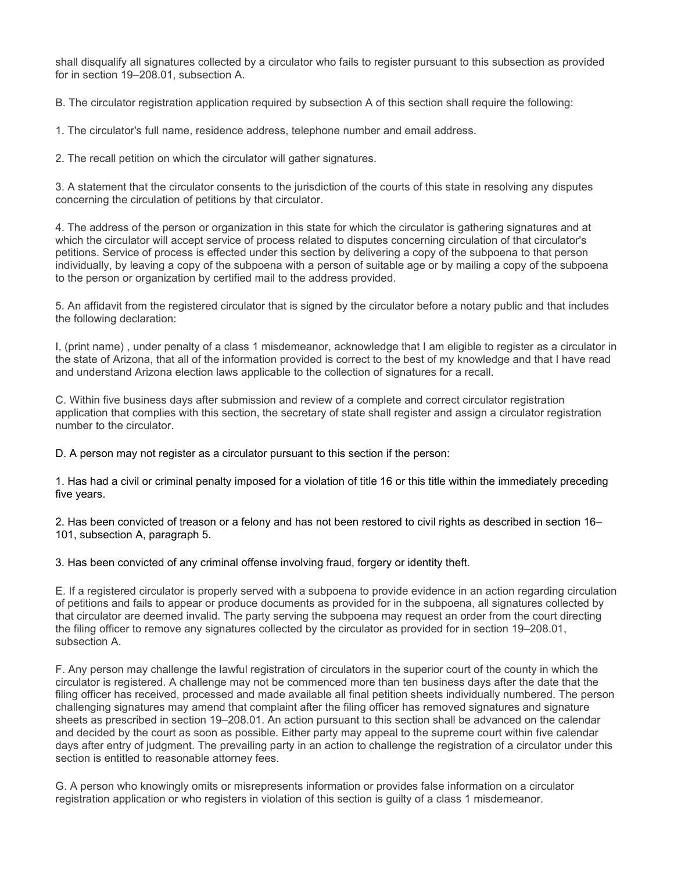shall disqualify all signatures collected by a circulator who fails to register pursuant to this subsection as provided for in section 19–208.01, subsection A.

B. The circulator registration application required by subsection A of this section shall require the following:

1. The circulator's full name, residence address, telephone number and email address.

2. The recall petition on which the circulator will gather signatures.

3. A statement that the circulator consents to the jurisdiction of the courts of this state in resolving any disputes concerning the circulation of petitions by that circulator.

4. The address of the person or organization in this state for which the circulator is gathering signatures and at which the circulator will accept service of process related to disputes concerning circulation of that circulator's petitions. Service of process is effected under this section by delivering a copy of the subpoena to that person individually, by leaving a copy of the subpoena with a person of suitable age or by mailing a copy of the subpoena to the person or organization by certified mail to the address provided.

5. An affidavit from the registered circulator that is signed by the circulator before a notary public and that includes the following declaration:

I, (print name) , under penalty of a class 1 misdemeanor, acknowledge that I am eligible to register as a circulator in the state of Arizona, that all of the information provided is correct to the best of my knowledge and that I have read and understand Arizona election laws applicable to the collection of signatures for a recall.

C. Within five business days after submission and review of a complete and correct circulator registration application that complies with this section, the secretary of state shall register and assign a circulator registration number to the circulator.

D. A person may not register as a circulator pursuant to this section if the person:

1. Has had a civil or criminal penalty imposed for a violation of title 16 or this title within the immediately preceding five years.

2. Has been convicted of treason or a felony and has not been restored to civil rights as described in section 16– 101, subsection A, paragraph 5.

3. Has been convicted of any criminal offense involving fraud, forgery or identity theft.

E. If a registered circulator is properly served with a subpoena to provide evidence in an action regarding circulation of petitions and fails to appear or produce documents as provided for in the subpoena, all signatures collected by that circulator are deemed invalid. The party serving the subpoena may request an order from the court directing the filing officer to remove any signatures collected by the circulator as provided for in section 19–208.01, subsection A.

F. Any person may challenge the lawful registration of circulators in the superior court of the county in which the circulator is registered. A challenge may not be commenced more than ten business days after the date that the filing officer has received, processed and made available all final petition sheets individually numbered. The person challenging signatures may amend that complaint after the filing officer has removed signatures and signature sheets as prescribed in section 19–208.01. An action pursuant to this section shall be advanced on the calendar and decided by the court as soon as possible. Either party may appeal to the supreme court within five calendar days after entry of judgment. The prevailing party in an action to challenge the registration of a circulator under this section is entitled to reasonable attorney fees.

G. A person who knowingly omits or misrepresents information or provides false information on a circulator registration application or who registers in violation of this section is guilty of a class 1 misdemeanor.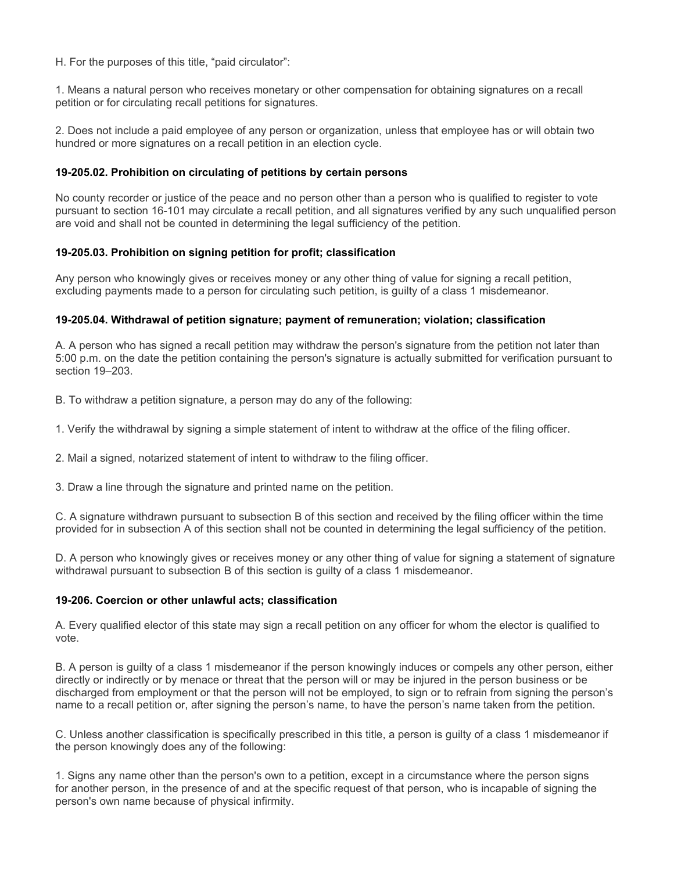H. For the purposes of this title, "paid circulator":

1. Means a natural person who receives monetary or other compensation for obtaining signatures on a recall petition or for circulating recall petitions for signatures.

2. Does not include a paid employee of any person or organization, unless that employee has or will obtain two hundred or more signatures on a recall petition in an election cycle.

### **19-205.02. Prohibition on circulating of petitions by certain persons**

No county recorder or justice of the peace and no person other than a person who is qualified to register to vote pursuant to section 16-101 may circulate a recall petition, and all signatures verified by any such unqualified person are void and shall not be counted in determining the legal sufficiency of the petition.

### **19-205.03. Prohibition on signing petition for profit; classification**

Any person who knowingly gives or receives money or any other thing of value for signing a recall petition, excluding payments made to a person for circulating such petition, is guilty of a class 1 misdemeanor.

### **19-205.04. Withdrawal of petition signature; payment of remuneration; violation; classification**

A. A person who has signed a recall petition may withdraw the person's signature from the petition not later than 5:00 p.m. on the date the petition containing the person's signature is actually submitted for verification pursuant to section 19–203.

B. To withdraw a petition signature, a person may do any of the following:

1. Verify the withdrawal by signing a simple statement of intent to withdraw at the office of the filing officer.

2. Mail a signed, notarized statement of intent to withdraw to the filing officer.

3. Draw a line through the signature and printed name on the petition.

C. A signature withdrawn pursuant to subsection B of this section and received by the filing officer within the time provided for in subsection A of this section shall not be counted in determining the legal sufficiency of the petition.

D. A person who knowingly gives or receives money or any other thing of value for signing a statement of signature withdrawal pursuant to subsection B of this section is guilty of a class 1 misdemeanor.

### **19-206. Coercion or other unlawful acts; classification**

A. Every qualified elector of this state may sign a recall petition on any officer for whom the elector is qualified to vote.

B. A person is guilty of a class 1 misdemeanor if the person knowingly induces or compels any other person, either directly or indirectly or by menace or threat that the person will or may be injured in the person business or be discharged from employment or that the person will not be employed, to sign or to refrain from signing the person's name to a recall petition or, after signing the person's name, to have the person's name taken from the petition.

C. Unless another classification is specifically prescribed in this title, a person is guilty of a class 1 misdemeanor if the person knowingly does any of the following:

1. Signs any name other than the person's own to a petition, except in a circumstance where the person signs for another person, in the presence of and at the specific request of that person, who is incapable of signing the person's own name because of physical infirmity.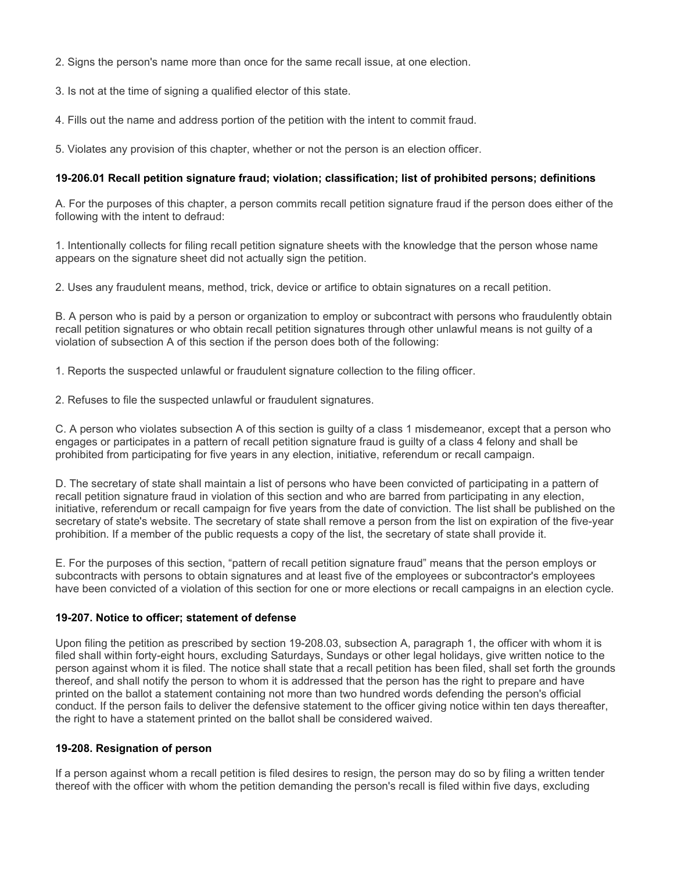2. Signs the person's name more than once for the same recall issue, at one election.

3. Is not at the time of signing a qualified elector of this state.

4. Fills out the name and address portion of the petition with the intent to commit fraud.

5. Violates any provision of this chapter, whether or not the person is an election officer.

## **19-206.01 Recall petition signature fraud; violation; classification; list of prohibited persons; definitions**

A. For the purposes of this chapter, a person commits recall petition signature fraud if the person does either of the following with the intent to defraud:

1. Intentionally collects for filing recall petition signature sheets with the knowledge that the person whose name appears on the signature sheet did not actually sign the petition.

2. Uses any fraudulent means, method, trick, device or artifice to obtain signatures on a recall petition.

B. A person who is paid by a person or organization to employ or subcontract with persons who fraudulently obtain recall petition signatures or who obtain recall petition signatures through other unlawful means is not guilty of a violation of subsection A of this section if the person does both of the following:

1. Reports the suspected unlawful or fraudulent signature collection to the filing officer.

2. Refuses to file the suspected unlawful or fraudulent signatures.

C. A person who violates subsection A of this section is guilty of a class 1 misdemeanor, except that a person who engages or participates in a pattern of recall petition signature fraud is guilty of a class 4 felony and shall be prohibited from participating for five years in any election, initiative, referendum or recall campaign.

D. The secretary of state shall maintain a list of persons who have been convicted of participating in a pattern of recall petition signature fraud in violation of this section and who are barred from participating in any election, initiative, referendum or recall campaign for five years from the date of conviction. The list shall be published on the secretary of state's website. The secretary of state shall remove a person from the list on expiration of the five-year prohibition. If a member of the public requests a copy of the list, the secretary of state shall provide it.

E. For the purposes of this section, "pattern of recall petition signature fraud" means that the person employs or subcontracts with persons to obtain signatures and at least five of the employees or subcontractor's employees have been convicted of a violation of this section for one or more elections or recall campaigns in an election cycle.

### **19-207. Notice to officer; statement of defense**

Upon filing the petition as prescribed by section 19-208.03, subsection A, paragraph 1, the officer with whom it is filed shall within forty-eight hours, excluding Saturdays, Sundays or other legal holidays, give written notice to the person against whom it is filed. The notice shall state that a recall petition has been filed, shall set forth the grounds thereof, and shall notify the person to whom it is addressed that the person has the right to prepare and have printed on the ballot a statement containing not more than two hundred words defending the person's official conduct. If the person fails to deliver the defensive statement to the officer giving notice within ten days thereafter, the right to have a statement printed on the ballot shall be considered waived.

### **19-208. Resignation of person**

If a person against whom a recall petition is filed desires to resign, the person may do so by filing a written tender thereof with the officer with whom the petition demanding the person's recall is filed within five days, excluding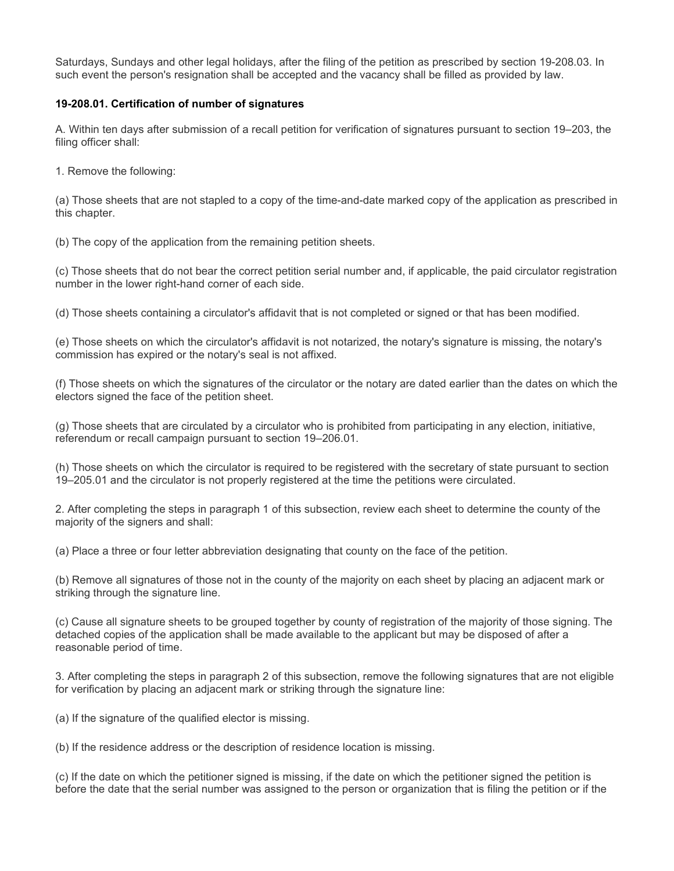Saturdays, Sundays and other legal holidays, after the filing of the petition as prescribed by section 19-208.03. In such event the person's resignation shall be accepted and the vacancy shall be filled as provided by law.

### **19-208.01. Certification of number of signatures**

A. Within ten days after submission of a recall petition for verification of signatures pursuant to section 19–203, the filing officer shall:

1. Remove the following:

(a) Those sheets that are not stapled to a copy of the time-and-date marked copy of the application as prescribed in this chapter.

(b) The copy of the application from the remaining petition sheets.

(c) Those sheets that do not bear the correct petition serial number and, if applicable, the paid circulator registration number in the lower right-hand corner of each side.

(d) Those sheets containing a circulator's affidavit that is not completed or signed or that has been modified.

(e) Those sheets on which the circulator's affidavit is not notarized, the notary's signature is missing, the notary's commission has expired or the notary's seal is not affixed.

(f) Those sheets on which the signatures of the circulator or the notary are dated earlier than the dates on which the electors signed the face of the petition sheet.

(g) Those sheets that are circulated by a circulator who is prohibited from participating in any election, initiative, referendum or recall campaign pursuant to section 19–206.01.

(h) Those sheets on which the circulator is required to be registered with the secretary of state pursuant to section 19–205.01 and the circulator is not properly registered at the time the petitions were circulated.

2. After completing the steps in paragraph 1 of this subsection, review each sheet to determine the county of the majority of the signers and shall:

(a) Place a three or four letter abbreviation designating that county on the face of the petition.

(b) Remove all signatures of those not in the county of the majority on each sheet by placing an adjacent mark or striking through the signature line.

(c) Cause all signature sheets to be grouped together by county of registration of the majority of those signing. The detached copies of the application shall be made available to the applicant but may be disposed of after a reasonable period of time.

3. After completing the steps in paragraph 2 of this subsection, remove the following signatures that are not eligible for verification by placing an adjacent mark or striking through the signature line:

(a) If the signature of the qualified elector is missing.

(b) If the residence address or the description of residence location is missing.

(c) If the date on which the petitioner signed is missing, if the date on which the petitioner signed the petition is before the date that the serial number was assigned to the person or organization that is filing the petition or if the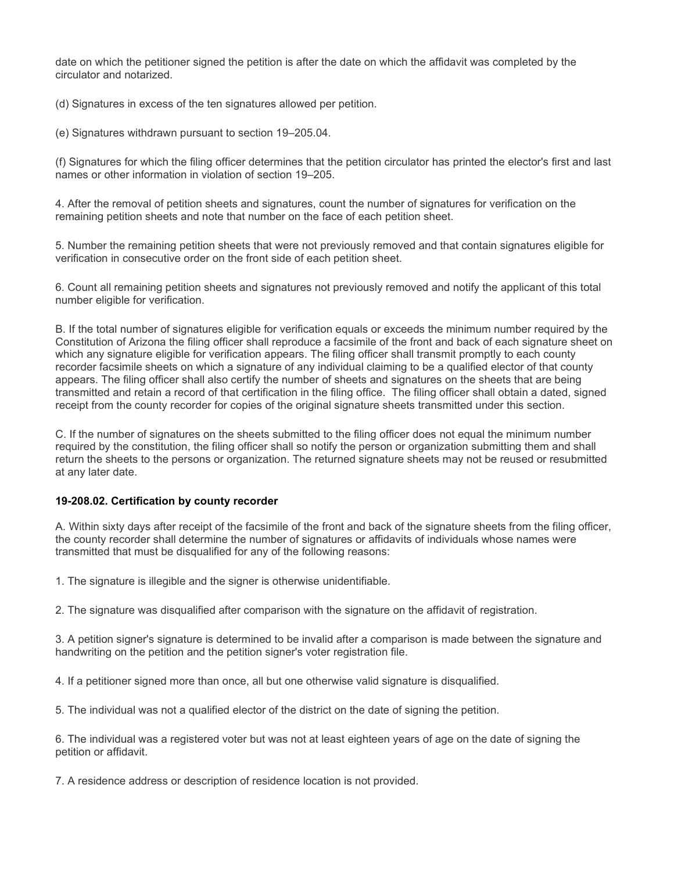date on which the petitioner signed the petition is after the date on which the affidavit was completed by the circulator and notarized.

(d) Signatures in excess of the ten signatures allowed per petition.

(e) Signatures withdrawn pursuant to section 19–205.04.

(f) Signatures for which the filing officer determines that the petition circulator has printed the elector's first and last names or other information in violation of section 19–205.

4. After the removal of petition sheets and signatures, count the number of signatures for verification on the remaining petition sheets and note that number on the face of each petition sheet.

5. Number the remaining petition sheets that were not previously removed and that contain signatures eligible for verification in consecutive order on the front side of each petition sheet.

6. Count all remaining petition sheets and signatures not previously removed and notify the applicant of this total number eligible for verification.

B. If the total number of signatures eligible for verification equals or exceeds the minimum number required by the Constitution of Arizona the filing officer shall reproduce a facsimile of the front and back of each signature sheet on which any signature eligible for verification appears. The filing officer shall transmit promptly to each county recorder facsimile sheets on which a signature of any individual claiming to be a qualified elector of that county appears. The filing officer shall also certify the number of sheets and signatures on the sheets that are being transmitted and retain a record of that certification in the filing office. The filing officer shall obtain a dated, signed receipt from the county recorder for copies of the original signature sheets transmitted under this section.

C. If the number of signatures on the sheets submitted to the filing officer does not equal the minimum number required by the constitution, the filing officer shall so notify the person or organization submitting them and shall return the sheets to the persons or organization. The returned signature sheets may not be reused or resubmitted at any later date.

### **19-208.02. Certification by county recorder**

A. Within sixty days after receipt of the facsimile of the front and back of the signature sheets from the filing officer, the county recorder shall determine the number of signatures or affidavits of individuals whose names were transmitted that must be disqualified for any of the following reasons:

1. The signature is illegible and the signer is otherwise unidentifiable.

2. The signature was disqualified after comparison with the signature on the affidavit of registration.

3. A petition signer's signature is determined to be invalid after a comparison is made between the signature and handwriting on the petition and the petition signer's voter registration file.

4. If a petitioner signed more than once, all but one otherwise valid signature is disqualified.

5. The individual was not a qualified elector of the district on the date of signing the petition.

6. The individual was a registered voter but was not at least eighteen years of age on the date of signing the petition or affidavit.

7. A residence address or description of residence location is not provided.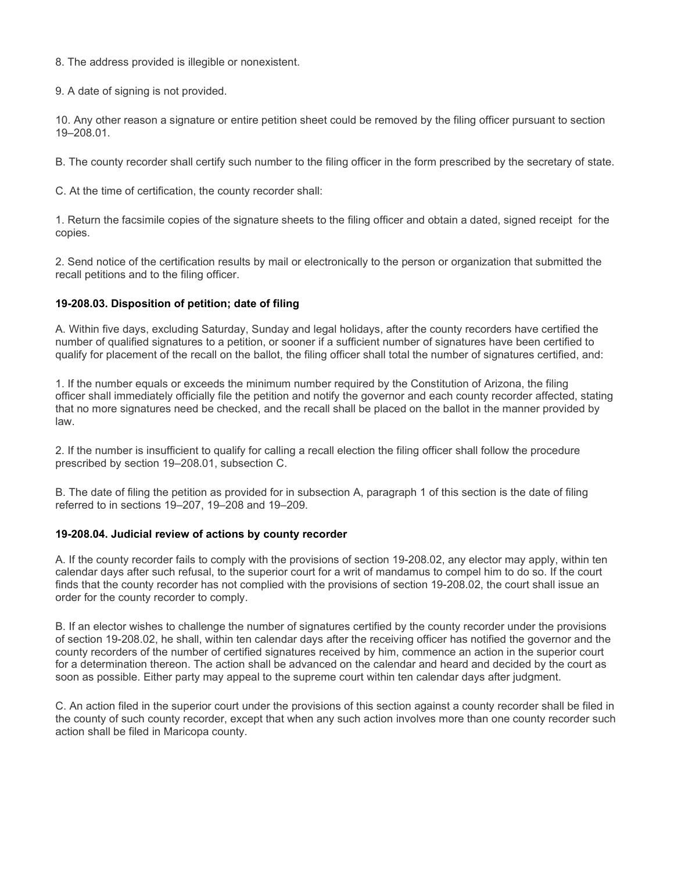8. The address provided is illegible or nonexistent.

9. A date of signing is not provided.

10. Any other reason a signature or entire petition sheet could be removed by the filing officer pursuant to section 19–208.01.

B. The county recorder shall certify such number to the filing officer in the form prescribed by the secretary of state.

C. At the time of certification, the county recorder shall:

1. Return the facsimile copies of the signature sheets to the filing officer and obtain a dated, signed receipt for the copies.

2. Send notice of the certification results by mail or electronically to the person or organization that submitted the recall petitions and to the filing officer.

### **19-208.03. Disposition of petition; date of filing**

A. Within five days, excluding Saturday, Sunday and legal holidays, after the county recorders have certified the number of qualified signatures to a petition, or sooner if a sufficient number of signatures have been certified to qualify for placement of the recall on the ballot, the filing officer shall total the number of signatures certified, and:

1. If the number equals or exceeds the minimum number required by the Constitution of Arizona, the filing officer shall immediately officially file the petition and notify the governor and each county recorder affected, stating that no more signatures need be checked, and the recall shall be placed on the ballot in the manner provided by law.

2. If the number is insufficient to qualify for calling a recall election the filing officer shall follow the procedure prescribed by section 19–208.01, subsection C.

B. The date of filing the petition as provided for in subsection A, paragraph 1 of this section is the date of filing referred to in sections 19–207, 19–208 and 19–209.

### **19-208.04. Judicial review of actions by county recorder**

A. If the county recorder fails to comply with the provisions of section 19-208.02, any elector may apply, within ten calendar days after such refusal, to the superior court for a writ of mandamus to compel him to do so. If the court finds that the county recorder has not complied with the provisions of section 19-208.02, the court shall issue an order for the county recorder to comply.

B. If an elector wishes to challenge the number of signatures certified by the county recorder under the provisions of section 19-208.02, he shall, within ten calendar days after the receiving officer has notified the governor and the county recorders of the number of certified signatures received by him, commence an action in the superior court for a determination thereon. The action shall be advanced on the calendar and heard and decided by the court as soon as possible. Either party may appeal to the supreme court within ten calendar days after judgment.

C. An action filed in the superior court under the provisions of this section against a county recorder shall be filed in the county of such county recorder, except that when any such action involves more than one county recorder such action shall be filed in Maricopa county.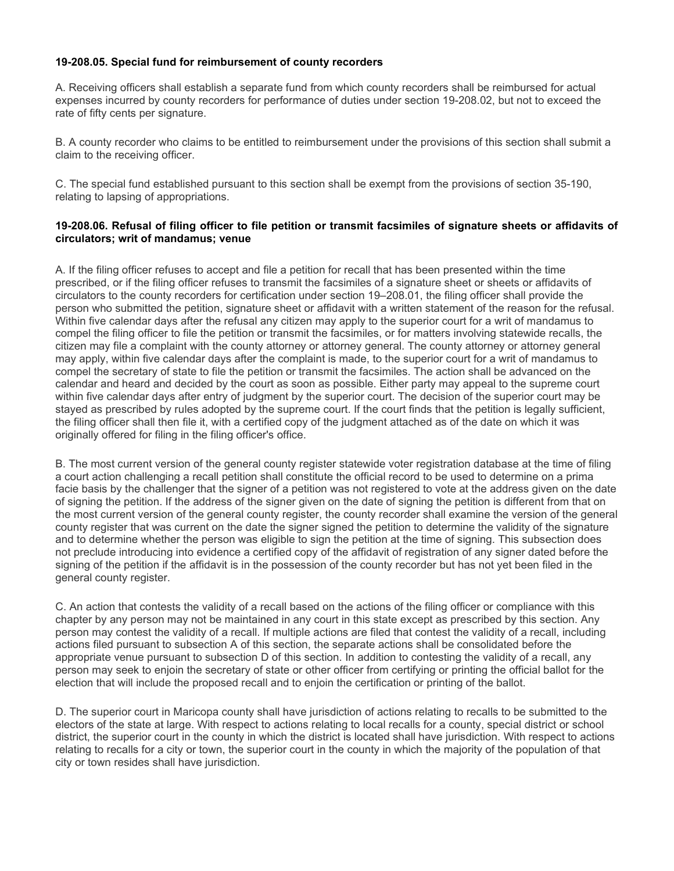### **19-208.05. Special fund for reimbursement of county recorders**

A. Receiving officers shall establish a separate fund from which county recorders shall be reimbursed for actual expenses incurred by county recorders for performance of duties under section 19-208.02, but not to exceed the rate of fifty cents per signature.

B. A county recorder who claims to be entitled to reimbursement under the provisions of this section shall submit a claim to the receiving officer.

C. The special fund established pursuant to this section shall be exempt from the provisions of section 35-190, relating to lapsing of appropriations.

### **19-208.06. Refusal of filing officer to file petition or transmit facsimiles of signature sheets or affidavits of circulators; writ of mandamus; venue**

A. If the filing officer refuses to accept and file a petition for recall that has been presented within the time prescribed, or if the filing officer refuses to transmit the facsimiles of a signature sheet or sheets or affidavits of circulators to the county recorders for certification under section 19–208.01, the filing officer shall provide the person who submitted the petition, signature sheet or affidavit with a written statement of the reason for the refusal. Within five calendar days after the refusal any citizen may apply to the superior court for a writ of mandamus to compel the filing officer to file the petition or transmit the facsimiles, or for matters involving statewide recalls, the citizen may file a complaint with the county attorney or attorney general. The county attorney or attorney general may apply, within five calendar days after the complaint is made, to the superior court for a writ of mandamus to compel the secretary of state to file the petition or transmit the facsimiles. The action shall be advanced on the calendar and heard and decided by the court as soon as possible. Either party may appeal to the supreme court within five calendar days after entry of judgment by the superior court. The decision of the superior court may be stayed as prescribed by rules adopted by the supreme court. If the court finds that the petition is legally sufficient, the filing officer shall then file it, with a certified copy of the judgment attached as of the date on which it was originally offered for filing in the filing officer's office.

B. The most current version of the general county register statewide voter registration database at the time of filing a court action challenging a recall petition shall constitute the official record to be used to determine on a prima facie basis by the challenger that the signer of a petition was not registered to vote at the address given on the date of signing the petition. If the address of the signer given on the date of signing the petition is different from that on the most current version of the general county register, the county recorder shall examine the version of the general county register that was current on the date the signer signed the petition to determine the validity of the signature and to determine whether the person was eligible to sign the petition at the time of signing. This subsection does not preclude introducing into evidence a certified copy of the affidavit of registration of any signer dated before the signing of the petition if the affidavit is in the possession of the county recorder but has not yet been filed in the general county register.

C. An action that contests the validity of a recall based on the actions of the filing officer or compliance with this chapter by any person may not be maintained in any court in this state except as prescribed by this section. Any person may contest the validity of a recall. If multiple actions are filed that contest the validity of a recall, including actions filed pursuant to subsection A of this section, the separate actions shall be consolidated before the appropriate venue pursuant to subsection D of this section. In addition to contesting the validity of a recall, any person may seek to enjoin the secretary of state or other officer from certifying or printing the official ballot for the election that will include the proposed recall and to enjoin the certification or printing of the ballot.

D. The superior court in Maricopa county shall have jurisdiction of actions relating to recalls to be submitted to the electors of the state at large. With respect to actions relating to local recalls for a county, special district or school district, the superior court in the county in which the district is located shall have jurisdiction. With respect to actions relating to recalls for a city or town, the superior court in the county in which the majority of the population of that city or town resides shall have jurisdiction.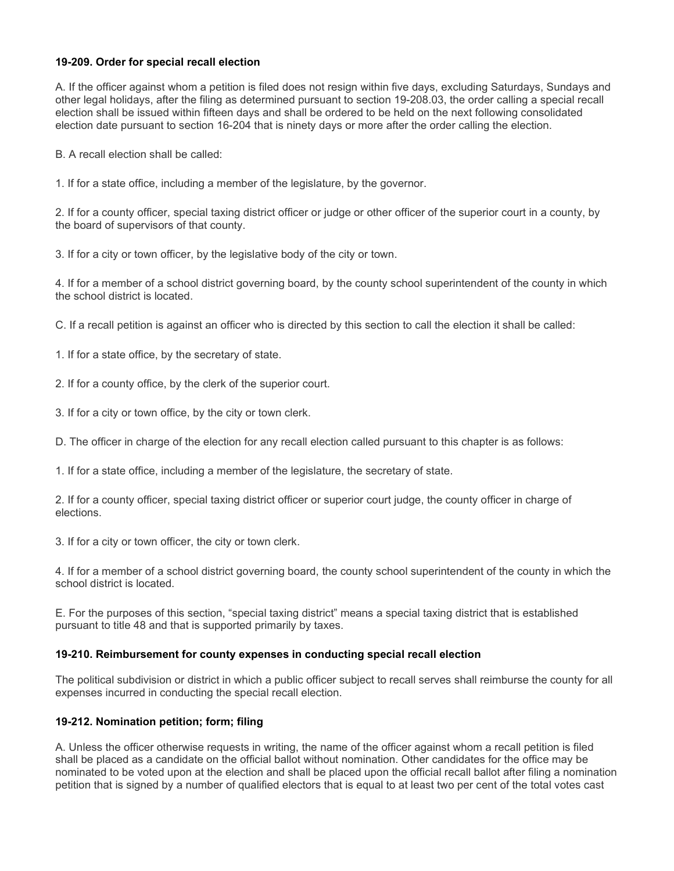### **19-209. Order for special recall election**

A. If the officer against whom a petition is filed does not resign within five days, excluding Saturdays, Sundays and other legal holidays, after the filing as determined pursuant to section 19-208.03, the order calling a special recall election shall be issued within fifteen days and shall be ordered to be held on the next following consolidated election date pursuant to section 16-204 that is ninety days or more after the order calling the election.

B. A recall election shall be called:

1. If for a state office, including a member of the legislature, by the governor.

2. If for a county officer, special taxing district officer or judge or other officer of the superior court in a county, by the board of supervisors of that county.

3. If for a city or town officer, by the legislative body of the city or town.

4. If for a member of a school district governing board, by the county school superintendent of the county in which the school district is located.

C. If a recall petition is against an officer who is directed by this section to call the election it shall be called:

1. If for a state office, by the secretary of state.

2. If for a county office, by the clerk of the superior court.

3. If for a city or town office, by the city or town clerk.

D. The officer in charge of the election for any recall election called pursuant to this chapter is as follows:

1. If for a state office, including a member of the legislature, the secretary of state.

2. If for a county officer, special taxing district officer or superior court judge, the county officer in charge of elections.

3. If for a city or town officer, the city or town clerk.

4. If for a member of a school district governing board, the county school superintendent of the county in which the school district is located.

E. For the purposes of this section, "special taxing district" means a special taxing district that is established pursuant to title 48 and that is supported primarily by taxes.

### **19-210. Reimbursement for county expenses in conducting special recall election**

The political subdivision or district in which a public officer subject to recall serves shall reimburse the county for all expenses incurred in conducting the special recall election.

### **19-212. Nomination petition; form; filing**

A. Unless the officer otherwise requests in writing, the name of the officer against whom a recall petition is filed shall be placed as a candidate on the official ballot without nomination. Other candidates for the office may be nominated to be voted upon at the election and shall be placed upon the official recall ballot after filing a nomination petition that is signed by a number of qualified electors that is equal to at least two per cent of the total votes cast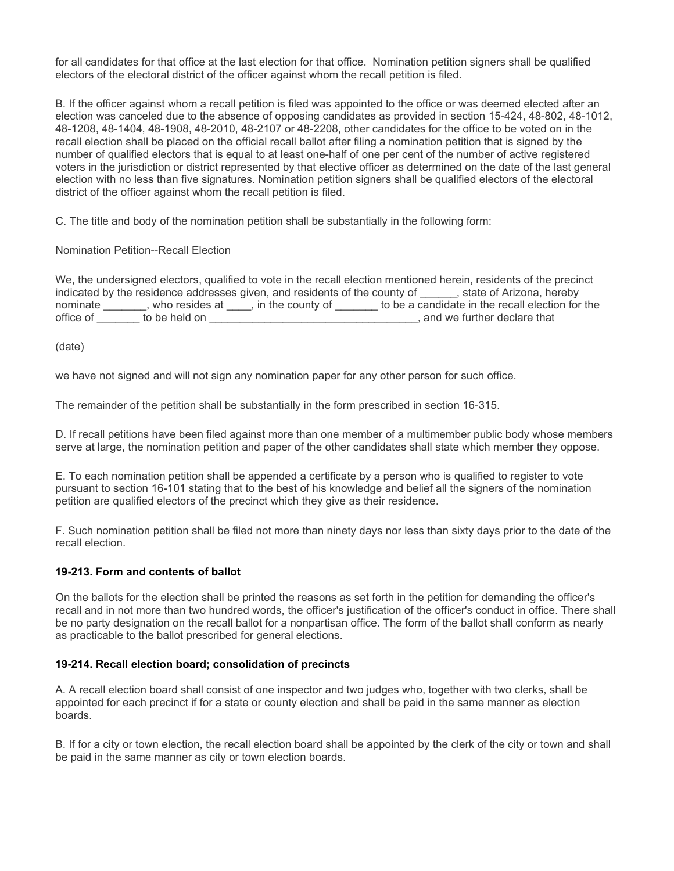for all candidates for that office at the last election for that office. Nomination petition signers shall be qualified electors of the electoral district of the officer against whom the recall petition is filed.

B. If the officer against whom a recall petition is filed was appointed to the office or was deemed elected after an election was canceled due to the absence of opposing candidates as provided in section 15-424, 48-802, 48-1012, 48-1208, 48-1404, 48-1908, 48-2010, 48-2107 or 48-2208, other candidates for the office to be voted on in the recall election shall be placed on the official recall ballot after filing a nomination petition that is signed by the number of qualified electors that is equal to at least one-half of one per cent of the number of active registered voters in the jurisdiction or district represented by that elective officer as determined on the date of the last general election with no less than five signatures. Nomination petition signers shall be qualified electors of the electoral district of the officer against whom the recall petition is filed.

C. The title and body of the nomination petition shall be substantially in the following form:

Nomination Petition--Recall Election

We, the undersigned electors, qualified to vote in the recall election mentioned herein, residents of the precinct indicated by the residence addresses given, and residents of the county of \_\_\_\_\_\_, state of Arizona, hereby nominate \_\_\_\_\_\_, who resides at \_\_\_\_, in the county of \_\_\_\_\_\_ to be a candidate in the recall election for the office of \_\_\_\_\_\_ to be held on \_\_\_\_\_\_\_\_\_\_\_\_\_\_\_\_\_\_\_\_\_\_\_\_, and we further declare that **office of and on the held on**  $\blacksquare$ , and we further declare that

(date)

we have not signed and will not sign any nomination paper for any other person for such office.

The remainder of the petition shall be substantially in the form prescribed in section 16-315.

D. If recall petitions have been filed against more than one member of a multimember public body whose members serve at large, the nomination petition and paper of the other candidates shall state which member they oppose.

E. To each nomination petition shall be appended a certificate by a person who is qualified to register to vote pursuant to section 16-101 stating that to the best of his knowledge and belief all the signers of the nomination petition are qualified electors of the precinct which they give as their residence.

F. Such nomination petition shall be filed not more than ninety days nor less than sixty days prior to the date of the recall election.

### **19-213. Form and contents of ballot**

On the ballots for the election shall be printed the reasons as set forth in the petition for demanding the officer's recall and in not more than two hundred words, the officer's justification of the officer's conduct in office. There shall be no party designation on the recall ballot for a nonpartisan office. The form of the ballot shall conform as nearly as practicable to the ballot prescribed for general elections.

### **19-214. Recall election board; consolidation of precincts**

A. A recall election board shall consist of one inspector and two judges who, together with two clerks, shall be appointed for each precinct if for a state or county election and shall be paid in the same manner as election boards.

B. If for a city or town election, the recall election board shall be appointed by the clerk of the city or town and shall be paid in the same manner as city or town election boards.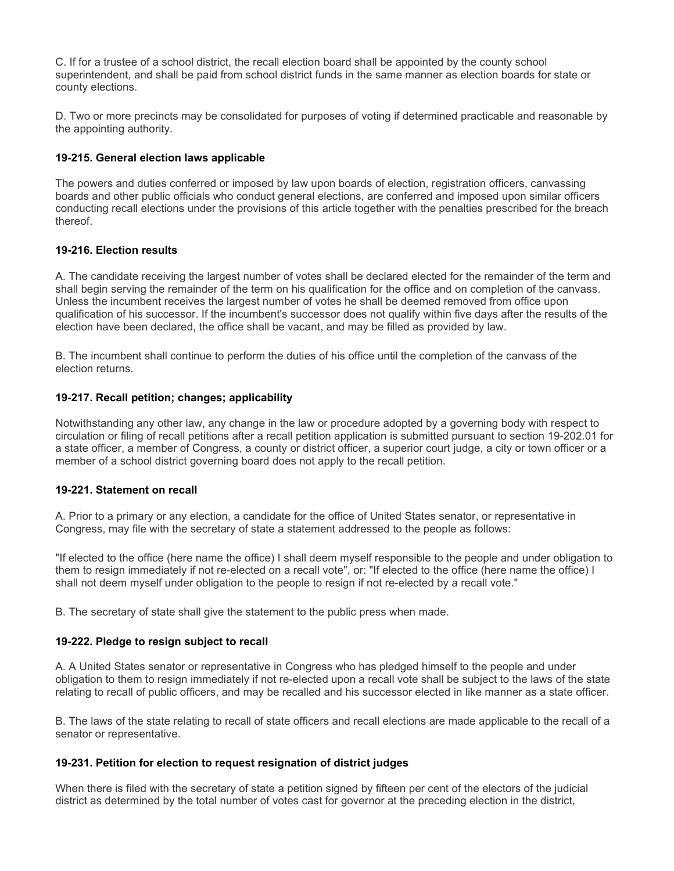C. If for a trustee of a school district, the recall election board shall be appointed by the county school superintendent, and shall be paid from school district funds in the same manner as election boards for state or county elections.

D. Two or more precincts may be consolidated for purposes of voting if determined practicable and reasonable by the appointing authority.

## **19-215. General election laws applicable**

The powers and duties conferred or imposed by law upon boards of election, registration officers, canvassing boards and other public officials who conduct general elections, are conferred and imposed upon similar officers conducting recall elections under the provisions of this article together with the penalties prescribed for the breach thereof.

# **19-216. Election results**

A. The candidate receiving the largest number of votes shall be declared elected for the remainder of the term and shall begin serving the remainder of the term on his qualification for the office and on completion of the canvass. Unless the incumbent receives the largest number of votes he shall be deemed removed from office upon qualification of his successor. If the incumbent's successor does not qualify within five days after the results of the election have been declared, the office shall be vacant, and may be filled as provided by law.

B. The incumbent shall continue to perform the duties of his office until the completion of the canvass of the election returns.

### **19-217. Recall petition; changes; applicability**

Notwithstanding any other law, any change in the law or procedure adopted by a governing body with respect to circulation or filing of recall petitions after a recall petition application is submitted pursuant to section 19-202.01 for a state officer, a member of Congress, a county or district officer, a superior court judge, a city or town officer or a member of a school district governing board does not apply to the recall petition.

### **19-221. Statement on recall**

A. Prior to a primary or any election, a candidate for the office of United States senator, or representative in Congress, may file with the secretary of state a statement addressed to the people as follows:

"If elected to the office (here name the office) I shall deem myself responsible to the people and under obligation to them to resign immediately if not re-elected on a recall vote", or: "If elected to the office (here name the office) I shall not deem myself under obligation to the people to resign if not re-elected by a recall vote."

B. The secretary of state shall give the statement to the public press when made.

### **19-222. Pledge to resign subject to recall**

A. A United States senator or representative in Congress who has pledged himself to the people and under obligation to them to resign immediately if not re-elected upon a recall vote shall be subject to the laws of the state relating to recall of public officers, and may be recalled and his successor elected in like manner as a state officer.

B. The laws of the state relating to recall of state officers and recall elections are made applicable to the recall of a senator or representative.

### **19-231. Petition for election to request resignation of district judges**

When there is filed with the secretary of state a petition signed by fifteen per cent of the electors of the judicial district as determined by the total number of votes cast for governor at the preceding election in the district,